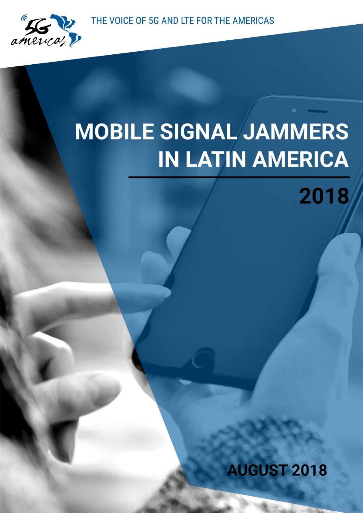THE VOICE OF 5G AND LTE FOR THE AMERICAS



# **MOBILE SIGNAL JAMMERS IN LATIN AMERICA**

2018

**AUGUST 2018**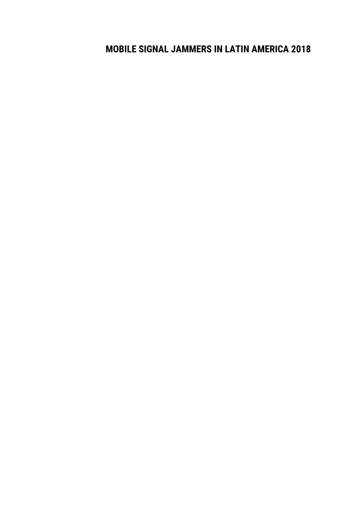### **MOBILE SIGNAL JAMMERS IN LATIN AMERICA 2018**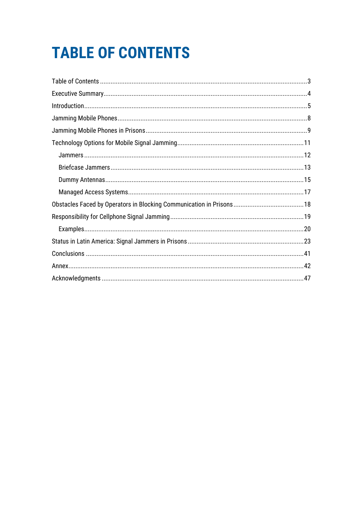# <span id="page-2-0"></span>**TABLE OF CONTENTS**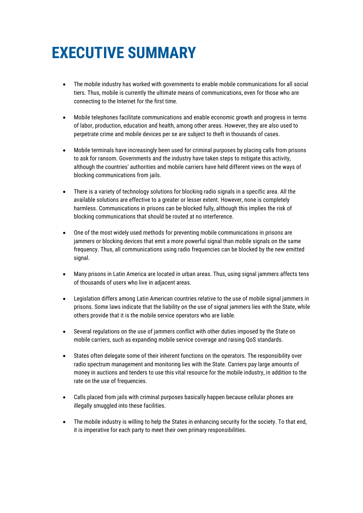# <span id="page-3-0"></span>**EXECUTIVE SUMMARY**

- The mobile industry has worked with governments to enable mobile communications for all social tiers. Thus, mobile is currently the ultimate means of communications, even for those who are connecting to the Internet for the first time.
- Mobile telephones facilitate communications and enable economic growth and progress in terms of labor, production, education and health, among other areas. However, they are also used to perpetrate crime and mobile devices per se are subject to theft in thousands of cases.
- Mobile terminals have increasingly been used for criminal purposes by placing calls from prisons to ask for ransom. Governments and the industry have taken steps to mitigate this activity, although the countries' authorities and mobile carriers have held different views on the ways of blocking communications from jails.
- There is a variety of technology solutions for blocking radio signals in a specific area. All the available solutions are effective to a greater or lesser extent. However, none is completely harmless. Communications in prisons can be blocked fully, although this implies the risk of blocking communications that should be routed at no interference.
- One of the most widely used methods for preventing mobile communications in prisons are jammers or blocking devices that emit a more powerful signal than mobile signals on the same frequency. Thus, all communications using radio frequencies can be blocked by the new emitted signal.
- Many prisons in Latin America are located in urban areas. Thus, using signal jammers affects tens of thousands of users who live in adjacent areas.
- Legislation differs among Latin American countries relative to the use of mobile signal jammers in prisons. Some laws indicate that the liability on the use of signal jammers lies with the State, while others provide that it is the mobile service operators who are liable.
- Several regulations on the use of jammers conflict with other duties imposed by the State on mobile carriers, such as expanding mobile service coverage and raising QoS standards.
- States often delegate some of their inherent functions on the operators. The responsibility over radio spectrum management and monitoring lies with the State. Carriers pay large amounts of money in auctions and tenders to use this vital resource for the mobile industry, in addition to the rate on the use of frequencies.
- Calls placed from jails with criminal purposes basically happen because cellular phones are illegally smuggled into these facilities.
- The mobile industry is willing to help the States in enhancing security for the society. To that end, it is imperative for each party to meet their own primary responsibilities.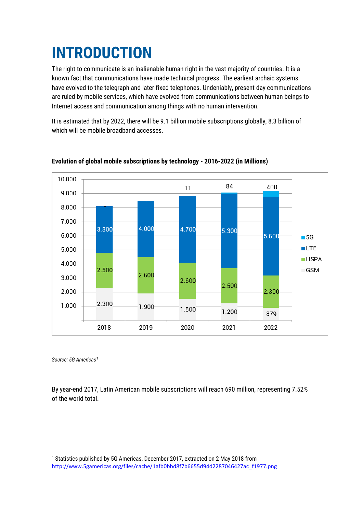# <span id="page-4-0"></span>**INTRODUCTION**

The right to communicate is an inalienable human right in the vast majority of countries. It is a known fact that communications have made technical progress. The earliest archaic systems have evolved to the telegraph and later fixed telephones. Undeniably, present day communications are ruled by mobile services, which have evolved from communications between human beings to Internet access and communication among things with no human intervention.

It is estimated that by 2022, there will be 9.1 billion mobile subscriptions globally, 8.3 billion of which will be mobile broadband accesses.



**Evolution of global mobile subscriptions by technology - 2016-2022 (in Millions)** 

*Source: 5G Americas<sup>1</sup>*

1

By year-end 2017, Latin American mobile subscriptions will reach 690 million, representing 7.52% of the world total.

<sup>&</sup>lt;sup>1</sup> Statistics published by 5G Americas, December 2017, extracted on 2 May 2018 from [http://www.5gamericas.org/files/cache/1afb0bbd8f7b6655d94d2287046427ac\\_f1977.png](http://www.5gamericas.org/files/cache/1afb0bbd8f7b6655d94d2287046427ac_f1977.png)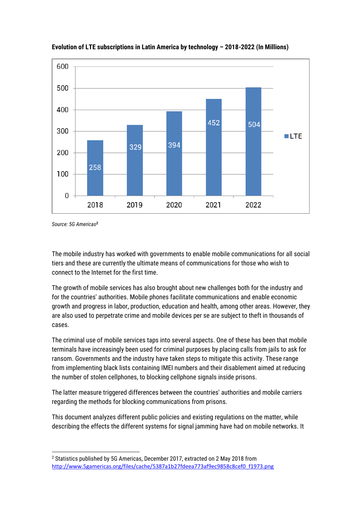

**Evolution of LTE subscriptions in Latin America by technology – 2018-2022 (In Millions)**

*Source: 5G Americas<sup>2</sup>*

The mobile industry has worked with governments to enable mobile communications for all social tiers and these are currently the ultimate means of communications for those who wish to connect to the Internet for the first time.

The growth of mobile services has also brought about new challenges both for the industry and for the countries' authorities. Mobile phones facilitate communications and enable economic growth and progress in labor, production, education and health, among other areas. However, they are also used to perpetrate crime and mobile devices per se are subject to theft in thousands of cases.

The criminal use of mobile services taps into several aspects. One of these has been that mobile terminals have increasingly been used for criminal purposes by placing calls from jails to ask for ransom. Governments and the industry have taken steps to mitigate this activity. These range from implementing black lists containing IMEI numbers and their disablement aimed at reducing the number of stolen cellphones, to blocking cellphone signals inside prisons.

The latter measure triggered differences between the countries' authorities and mobile carriers regarding the methods for blocking communications from prisons.

This document analyzes different public policies and existing regulations on the matter, while describing the effects the different systems for signal jamming have had on mobile networks. It

<sup>1</sup> <sup>2</sup> Statistics published by 5G Americas, December 2017, extracted on 2 May 2018 from [http://www.5gamericas.org/files/cache/5387a1b27fdeea773af9ec9858c8cef0\\_f1973.png](http://www.5gamericas.org/files/cache/5387a1b27fdeea773af9ec9858c8cef0_f1973.png)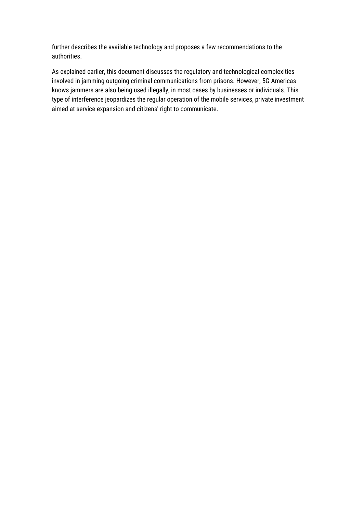further describes the available technology and proposes a few recommendations to the authorities.

As explained earlier, this document discusses the regulatory and technological complexities involved in jamming outgoing criminal communications from prisons. However, 5G Americas knows jammers are also being used illegally, in most cases by businesses or individuals. This type of interference jeopardizes the regular operation of the mobile services, private investment aimed at service expansion and citizens' right to communicate.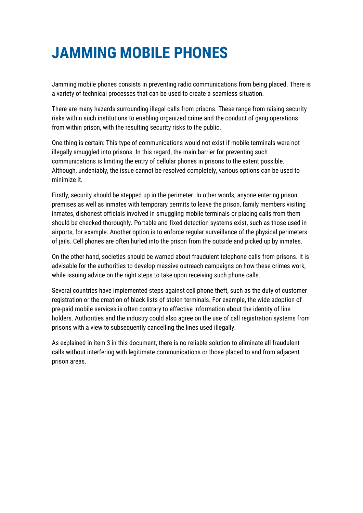### <span id="page-7-0"></span>**JAMMING MOBILE PHONES**

Jamming mobile phones consists in preventing radio communications from being placed. There is a variety of technical processes that can be used to create a seamless situation.

There are many hazards surrounding illegal calls from prisons. These range from raising security risks within such institutions to enabling organized crime and the conduct of gang operations from within prison, with the resulting security risks to the public.

One thing is certain: This type of communications would not exist if mobile terminals were not illegally smuggled into prisons. In this regard, the main barrier for preventing such communications is limiting the entry of cellular phones in prisons to the extent possible. Although, undeniably, the issue cannot be resolved completely, various options can be used to minimize it.

Firstly, security should be stepped up in the perimeter. In other words, anyone entering prison premises as well as inmates with temporary permits to leave the prison, family members visiting inmates, dishonest officials involved in smuggling mobile terminals or placing calls from them should be checked thoroughly. Portable and fixed detection systems exist, such as those used in airports, for example. Another option is to enforce regular surveillance of the physical perimeters of jails. Cell phones are often hurled into the prison from the outside and picked up by inmates.

On the other hand, societies should be warned about fraudulent telephone calls from prisons. It is advisable for the authorities to develop massive outreach campaigns on how these crimes work, while issuing advice on the right steps to take upon receiving such phone calls.

Several countries have implemented steps against cell phone theft, such as the duty of customer registration or the creation of black lists of stolen terminals. For example, the wide adoption of pre-paid mobile services is often contrary to effective information about the identity of line holders. Authorities and the industry could also agree on the use of call registration systems from prisons with a view to subsequently cancelling the lines used illegally.

As explained in item 3 in this document, there is no reliable solution to eliminate all fraudulent calls without interfering with legitimate communications or those placed to and from adjacent prison areas.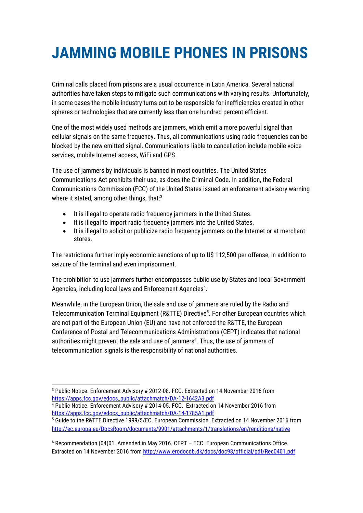# <span id="page-8-0"></span>**JAMMING MOBILE PHONES IN PRISONS**

Criminal calls placed from prisons are a usual occurrence in Latin America. Several national authorities have taken steps to mitigate such communications with varying results. Unfortunately, in some cases the mobile industry turns out to be responsible for inefficiencies created in other spheres or technologies that are currently less than one hundred percent efficient.

One of the most widely used methods are jammers, which emit a more powerful signal than cellular signals on the same frequency. Thus, all communications using radio frequencies can be blocked by the new emitted signal. Communications liable to cancellation include mobile voice services, mobile Internet access, WiFi and GPS.

The use of jammers by individuals is banned in most countries. The United States Communications Act prohibits their use, as does the Criminal Code. In addition, the Federal Communications Commission (FCC) of the United States issued an enforcement advisory warning where it stated, among other things, that: $3$ 

- It is illegal to operate radio frequency jammers in the United States.
- It is illegal to import radio frequency jammers into the United States.
- It is illegal to solicit or publicize radio frequency jammers on the Internet or at merchant stores.

The restrictions further imply economic sanctions of up to U\$ 112,500 per offense, in addition to seizure of the terminal and even imprisonment.

The prohibition to use jammers further encompasses public use by States and local Government Agencies, including local laws and Enforcement Agencies<sup>4</sup>.

Meanwhile, in the European Union, the sale and use of jammers are ruled by the Radio and Telecommunication Terminal Equipment (R&TTE) Directive<sup>5</sup>. For other European countries which are not part of the European Union (EU) and have not enforced the R&TTE, the European Conference of Postal and Telecommunications Administrations (CEPT) indicates that national authorities might prevent the sale and use of jammers<sup>6</sup>. Thus, the use of jammers of telecommunication signals is the responsibility of national authorities.

<sup>1</sup> <sup>3</sup> Public Notice. Enforcement Advisory # 2012-08. FCC. Extracted on 14 November 2016 from [https://apps.fcc.gov/edocs\\_public/attachmatch/DA-12-1642A3.pdf](https://apps.fcc.gov/edocs_public/attachmatch/DA-12-1642A3.pdf)

<sup>4</sup> Public Notice. Enforcement Advisory # 2014-05. FCC. Extracted on 14 November 2016 from [https://apps.fcc.gov/edocs\\_public/attachmatch/DA-14-1785A1.pdf](https://apps.fcc.gov/edocs_public/attachmatch/DA-14-1785A1.pdf)

<sup>5</sup> Guide to the R&TTE Directive 1999/5/EC. European Commission. Extracted on 14 November 2016 from <http://ec.europa.eu/DocsRoom/documents/9901/attachments/1/translations/en/renditions/native>

<sup>6</sup> Recommendation (04)01. Amended in May 2016. CEPT – ECC. European Communications Office. Extracted on 14 November 2016 fro[m http://www.erodocdb.dk/docs/doc98/official/pdf/Rec0401.pdf](http://www.erodocdb.dk/docs/doc98/official/pdf/Rec0401.pdf)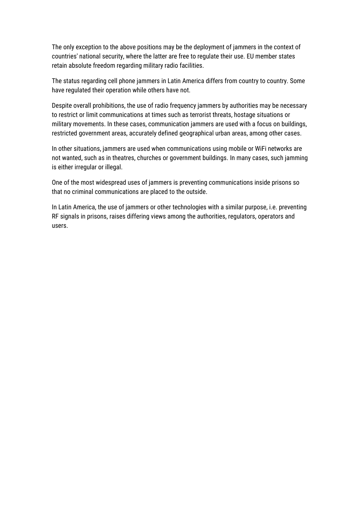The only exception to the above positions may be the deployment of jammers in the context of countries' national security, where the latter are free to regulate their use. EU member states retain absolute freedom regarding military radio facilities.

The status regarding cell phone jammers in Latin America differs from country to country. Some have regulated their operation while others have not.

Despite overall prohibitions, the use of radio frequency jammers by authorities may be necessary to restrict or limit communications at times such as terrorist threats, hostage situations or military movements. In these cases, communication jammers are used with a focus on buildings, restricted government areas, accurately defined geographical urban areas, among other cases.

In other situations, jammers are used when communications using mobile or WiFi networks are not wanted, such as in theatres, churches or government buildings. In many cases, such jamming is either irregular or illegal.

One of the most widespread uses of jammers is preventing communications inside prisons so that no criminal communications are placed to the outside.

In Latin America, the use of jammers or other technologies with a similar purpose, i.e. preventing RF signals in prisons, raises differing views among the authorities, regulators, operators and users.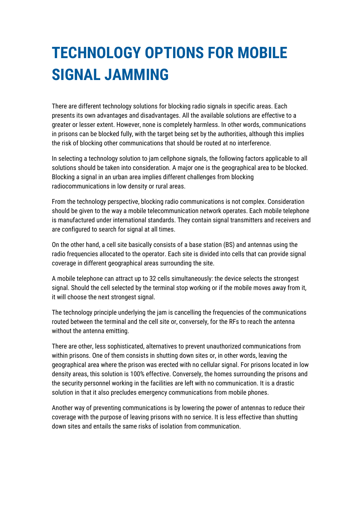## <span id="page-10-0"></span>**TECHNOLOGY OPTIONS FOR MOBILE SIGNAL JAMMING**

There are different technology solutions for blocking radio signals in specific areas. Each presents its own advantages and disadvantages. All the available solutions are effective to a greater or lesser extent. However, none is completely harmless. In other words, communications in prisons can be blocked fully, with the target being set by the authorities, although this implies the risk of blocking other communications that should be routed at no interference.

In selecting a technology solution to jam cellphone signals, the following factors applicable to all solutions should be taken into consideration. A major one is the geographical area to be blocked. Blocking a signal in an urban area implies different challenges from blocking radiocommunications in low density or rural areas.

From the technology perspective, blocking radio communications is not complex. Consideration should be given to the way a mobile telecommunication network operates. Each mobile telephone is manufactured under international standards. They contain signal transmitters and receivers and are configured to search for signal at all times.

On the other hand, a cell site basically consists of a base station (BS) and antennas using the radio frequencies allocated to the operator. Each site is divided into cells that can provide signal coverage in different geographical areas surrounding the site.

A mobile telephone can attract up to 32 cells simultaneously: the device selects the strongest signal. Should the cell selected by the terminal stop working or if the mobile moves away from it, it will choose the next strongest signal.

The technology principle underlying the jam is cancelling the frequencies of the communications routed between the terminal and the cell site or, conversely, for the RFs to reach the antenna without the antenna emitting.

There are other, less sophisticated, alternatives to prevent unauthorized communications from within prisons. One of them consists in shutting down sites or, in other words, leaving the geographical area where the prison was erected with no cellular signal. For prisons located in low density areas, this solution is 100% effective. Conversely, the homes surrounding the prisons and the security personnel working in the facilities are left with no communication. It is a drastic solution in that it also precludes emergency communications from mobile phones.

Another way of preventing communications is by lowering the power of antennas to reduce their coverage with the purpose of leaving prisons with no service. It is less effective than shutting down sites and entails the same risks of isolation from communication.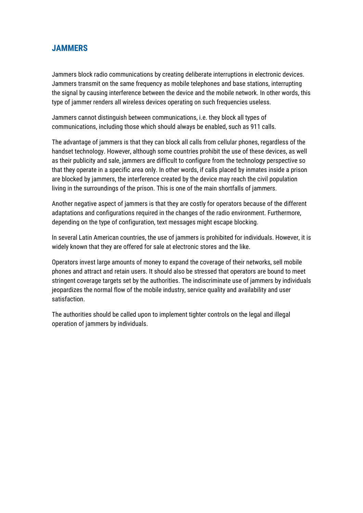### <span id="page-11-0"></span>**JAMMERS**

Jammers block radio communications by creating deliberate interruptions in electronic devices. Jammers transmit on the same frequency as mobile telephones and base stations, interrupting the signal by causing interference between the device and the mobile network. In other words, this type of jammer renders all wireless devices operating on such frequencies useless.

Jammers cannot distinguish between communications, i.e. they block all types of communications, including those which should always be enabled, such as 911 calls.

The advantage of jammers is that they can block all calls from cellular phones, regardless of the handset technology. However, although some countries prohibit the use of these devices, as well as their publicity and sale, jammers are difficult to configure from the technology perspective so that they operate in a specific area only. In other words, if calls placed by inmates inside a prison are blocked by jammers, the interference created by the device may reach the civil population living in the surroundings of the prison. This is one of the main shortfalls of jammers.

Another negative aspect of jammers is that they are costly for operators because of the different adaptations and configurations required in the changes of the radio environment. Furthermore, depending on the type of configuration, text messages might escape blocking.

In several Latin American countries, the use of jammers is prohibited for individuals. However, it is widely known that they are offered for sale at electronic stores and the like.

Operators invest large amounts of money to expand the coverage of their networks, sell mobile phones and attract and retain users. It should also be stressed that operators are bound to meet stringent coverage targets set by the authorities. The indiscriminate use of jammers by individuals jeopardizes the normal flow of the mobile industry, service quality and availability and user satisfaction.

The authorities should be called upon to implement tighter controls on the legal and illegal operation of jammers by individuals.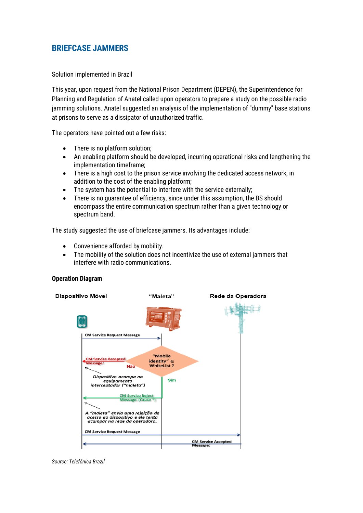### <span id="page-12-0"></span>**BRIEFCASE JAMMERS**

Solution implemented in Brazil

This year, upon request from the National Prison Department (DEPEN), the Superintendence for Planning and Regulation of Anatel called upon operators to prepare a study on the possible radio jamming solutions. Anatel suggested an analysis of the implementation of "dummy" base stations at prisons to serve as a dissipator of unauthorized traffic.

The operators have pointed out a few risks:

- There is no platform solution;
- An enabling platform should be developed, incurring operational risks and lengthening the implementation timeframe;
- There is a high cost to the prison service involving the dedicated access network, in addition to the cost of the enabling platform;
- The system has the potential to interfere with the service externally;
- There is no guarantee of efficiency, since under this assumption, the BS should encompass the entire communication spectrum rather than a given technology or spectrum band.

The study suggested the use of briefcase jammers. Its advantages include:

- Convenience afforded by mobility.
- The mobility of the solution does not incentivize the use of external jammers that interfere with radio communications.

#### **Operation Diagram**



*Source: Telefónica Brazil*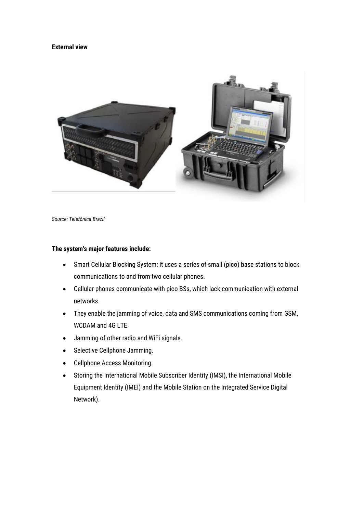#### **External view**



*Source: Telefónica Brazil*

#### **The system's major features include:**

- Smart Cellular Blocking System: it uses a series of small (pico) base stations to block communications to and from two cellular phones.
- Cellular phones communicate with pico BSs, which lack communication with external networks.
- They enable the jamming of voice, data and SMS communications coming from GSM, WCDAM and 4G LTE.
- Jamming of other radio and WiFi signals.
- Selective Cellphone Jamming.
- Cellphone Access Monitoring.
- Storing the International Mobile Subscriber Identity (IMSI), the International Mobile Equipment Identity (IMEI) and the Mobile Station on the Integrated Service Digital Network).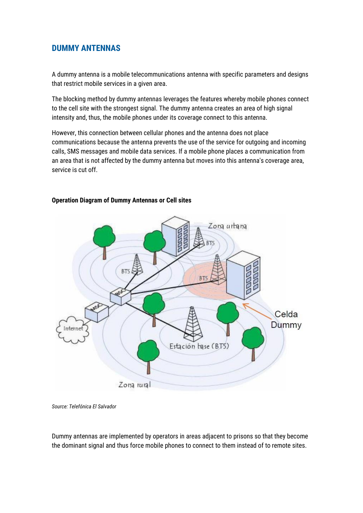### <span id="page-14-0"></span>**DUMMY ANTENNAS**

A dummy antenna is a mobile telecommunications antenna with specific parameters and designs that restrict mobile services in a given area.

The blocking method by dummy antennas leverages the features whereby mobile phones connect to the cell site with the strongest signal. The dummy antenna creates an area of high signal intensity and, thus, the mobile phones under its coverage connect to this antenna.

However, this connection between cellular phones and the antenna does not place communications because the antenna prevents the use of the service for outgoing and incoming calls, SMS messages and mobile data services. If a mobile phone places a communication from an area that is not affected by the dummy antenna but moves into this antenna's coverage area, service is cut off.



### **Operation Diagram of Dummy Antennas or Cell sites**

*Source: Telefónica El Salvador*

Dummy antennas are implemented by operators in areas adjacent to prisons so that they become the dominant signal and thus force mobile phones to connect to them instead of to remote sites.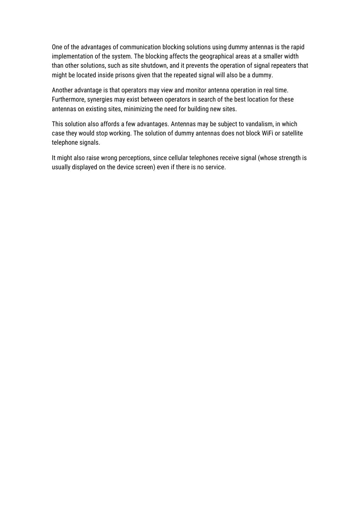One of the advantages of communication blocking solutions using dummy antennas is the rapid implementation of the system. The blocking affects the geographical areas at a smaller width than other solutions, such as site shutdown, and it prevents the operation of signal repeaters that might be located inside prisons given that the repeated signal will also be a dummy.

Another advantage is that operators may view and monitor antenna operation in real time. Furthermore, synergies may exist between operators in search of the best location for these antennas on existing sites, minimizing the need for building new sites.

This solution also affords a few advantages. Antennas may be subject to vandalism, in which case they would stop working. The solution of dummy antennas does not block WiFi or satellite telephone signals.

It might also raise wrong perceptions, since cellular telephones receive signal (whose strength is usually displayed on the device screen) even if there is no service.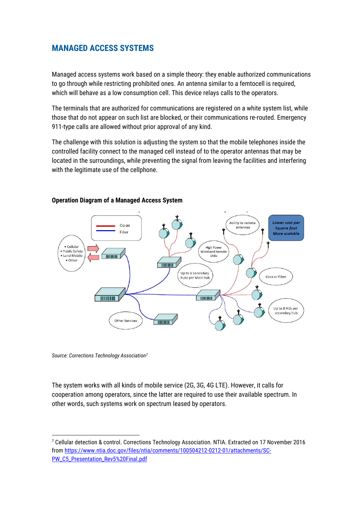### <span id="page-16-0"></span>**MANAGED ACCESS SYSTEMS**

Managed access systems work based on a simple theory: they enable authorized communications to go through while restricting prohibited ones. An antenna similar to a femtocell is required, which will behave as a low consumption cell. This device relays calls to the operators.

The terminals that are authorized for communications are registered on a white system list, while those that do not appear on such list are blocked, or their communications re-routed. Emergency 911-type calls are allowed without prior approval of any kind.

The challenge with this solution is adjusting the system so that the mobile telephones inside the controlled facility connect to the managed cell instead of to the operator antennas that may be located in the surroundings, while preventing the signal from leaving the facilities and interfering with the legitimate use of the cellphone.



#### **Operation Diagram of a Managed Access System**

*Source: Corrections Technology Association<sup>7</sup>*

**.** 

The system works with all kinds of mobile service (2G, 3G, 4G LTE). However, it calls for cooperation among operators, since the latter are required to use their available spectrum. In other words, such systems work on spectrum leased by operators.

<sup>7</sup> Cellular detection & control. Corrections Technology Association. NTIA. Extracted on 17 November 2016 from [https://www.ntia.doc.gov/files/ntia/comments/100504212-0212-01/attachments/SC-](https://www.ntia.doc.gov/files/ntia/comments/100504212-0212-01/attachments/SC-PW_C5_Presentation_Rev5%20Final.pdf)[PW\\_C5\\_Presentation\\_Rev5%20Final.pdf](https://www.ntia.doc.gov/files/ntia/comments/100504212-0212-01/attachments/SC-PW_C5_Presentation_Rev5%20Final.pdf)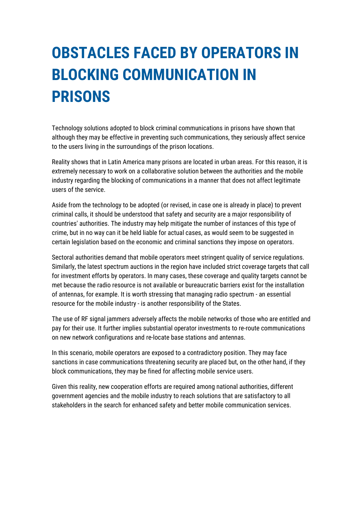# <span id="page-17-0"></span>**OBSTACLES FACED BY OPERATORS IN BLOCKING COMMUNICATION IN PRISONS**

Technology solutions adopted to block criminal communications in prisons have shown that although they may be effective in preventing such communications, they seriously affect service to the users living in the surroundings of the prison locations.

Reality shows that in Latin America many prisons are located in urban areas. For this reason, it is extremely necessary to work on a collaborative solution between the authorities and the mobile industry regarding the blocking of communications in a manner that does not affect legitimate users of the service.

Aside from the technology to be adopted (or revised, in case one is already in place) to prevent criminal calls, it should be understood that safety and security are a major responsibility of countries' authorities. The industry may help mitigate the number of instances of this type of crime, but in no way can it be held liable for actual cases, as would seem to be suggested in certain legislation based on the economic and criminal sanctions they impose on operators.

Sectoral authorities demand that mobile operators meet stringent quality of service regulations. Similarly, the latest spectrum auctions in the region have included strict coverage targets that call for investment efforts by operators. In many cases, these coverage and quality targets cannot be met because the radio resource is not available or bureaucratic barriers exist for the installation of antennas, for example. It is worth stressing that managing radio spectrum - an essential resource for the mobile industry - is another responsibility of the States.

The use of RF signal jammers adversely affects the mobile networks of those who are entitled and pay for their use. It further implies substantial operator investments to re-route communications on new network configurations and re-locate base stations and antennas.

In this scenario, mobile operators are exposed to a contradictory position. They may face sanctions in case communications threatening security are placed but, on the other hand, if they block communications, they may be fined for affecting mobile service users.

Given this reality, new cooperation efforts are required among national authorities, different government agencies and the mobile industry to reach solutions that are satisfactory to all stakeholders in the search for enhanced safety and better mobile communication services.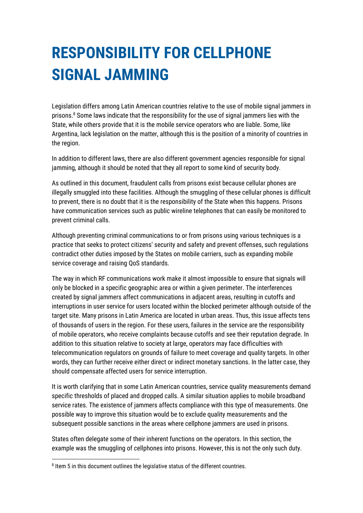# <span id="page-18-0"></span>**RESPONSIBILITY FOR CELLPHONE SIGNAL JAMMING**

Legislation differs among Latin American countries relative to the use of mobile signal jammers in prisons.<sup>8</sup> Some laws indicate that the responsibility for the use of signal jammers lies with the State, while others provide that it is the mobile service operators who are liable. Some, like Argentina, lack legislation on the matter, although this is the position of a minority of countries in the region.

In addition to different laws, there are also different government agencies responsible for signal jamming, although it should be noted that they all report to some kind of security body.

As outlined in this document, fraudulent calls from prisons exist because cellular phones are illegally smuggled into these facilities. Although the smuggling of these cellular phones is difficult to prevent, there is no doubt that it is the responsibility of the State when this happens. Prisons have communication services such as public wireline telephones that can easily be monitored to prevent criminal calls.

Although preventing criminal communications to or from prisons using various techniques is a practice that seeks to protect citizens' security and safety and prevent offenses, such regulations contradict other duties imposed by the States on mobile carriers, such as expanding mobile service coverage and raising QoS standards.

The way in which RF communications work make it almost impossible to ensure that signals will only be blocked in a specific geographic area or within a given perimeter. The interferences created by signal jammers affect communications in adjacent areas, resulting in cutoffs and interruptions in user service for users located within the blocked perimeter although outside of the target site. Many prisons in Latin America are located in urban areas. Thus, this issue affects tens of thousands of users in the region. For these users, failures in the service are the responsibility of mobile operators, who receive complaints because cutoffs and see their reputation degrade. In addition to this situation relative to society at large, operators may face difficulties with telecommunication regulators on grounds of failure to meet coverage and quality targets. In other words, they can further receive either direct or indirect monetary sanctions. In the latter case, they should compensate affected users for service interruption.

It is worth clarifying that in some Latin American countries, service quality measurements demand specific thresholds of placed and dropped calls. A similar situation applies to mobile broadband service rates. The existence of jammers affects compliance with this type of measurements. One possible way to improve this situation would be to exclude quality measurements and the subsequent possible sanctions in the areas where cellphone jammers are used in prisons.

States often delegate some of their inherent functions on the operators. In this section, the example was the smuggling of cellphones into prisons. However, this is not the only such duty.

 $\overline{a}$ 

<sup>&</sup>lt;sup>8</sup> Item 5 in this document outlines the legislative status of the different countries.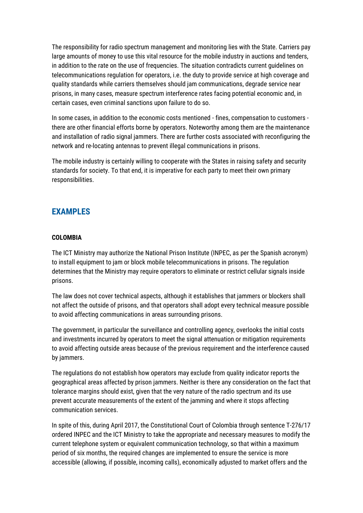The responsibility for radio spectrum management and monitoring lies with the State. Carriers pay large amounts of money to use this vital resource for the mobile industry in auctions and tenders, in addition to the rate on the use of frequencies. The situation contradicts current guidelines on telecommunications regulation for operators, i.e. the duty to provide service at high coverage and quality standards while carriers themselves should jam communications, degrade service near prisons, in many cases, measure spectrum interference rates facing potential economic and, in certain cases, even criminal sanctions upon failure to do so.

In some cases, in addition to the economic costs mentioned - fines, compensation to customers there are other financial efforts borne by operators. Noteworthy among them are the maintenance and installation of radio signal jammers. There are further costs associated with reconfiguring the network and re-locating antennas to prevent illegal communications in prisons.

The mobile industry is certainly willing to cooperate with the States in raising safety and security standards for society. To that end, it is imperative for each party to meet their own primary responsibilities.

### <span id="page-19-0"></span>**EXAMPLES**

#### **COLOMBIA**

The ICT Ministry may authorize the National Prison Institute (INPEC, as per the Spanish acronym) to install equipment to jam or block mobile telecommunications in prisons. The regulation determines that the Ministry may require operators to eliminate or restrict cellular signals inside prisons.

The law does not cover technical aspects, although it establishes that jammers or blockers shall not affect the outside of prisons, and that operators shall adopt every technical measure possible to avoid affecting communications in areas surrounding prisons.

The government, in particular the surveillance and controlling agency, overlooks the initial costs and investments incurred by operators to meet the signal attenuation or mitigation requirements to avoid affecting outside areas because of the previous requirement and the interference caused by jammers.

The regulations do not establish how operators may exclude from quality indicator reports the geographical areas affected by prison jammers. Neither is there any consideration on the fact that tolerance margins should exist, given that the very nature of the radio spectrum and its use prevent accurate measurements of the extent of the jamming and where it stops affecting communication services.

In spite of this, during April 2017, the Constitutional Court of Colombia through sentence T-276/17 ordered INPEC and the ICT Ministry to take the appropriate and necessary measures to modify the current telephone system or equivalent communication technology, so that within a maximum period of six months, the required changes are implemented to ensure the service is more accessible (allowing, if possible, incoming calls), economically adjusted to market offers and the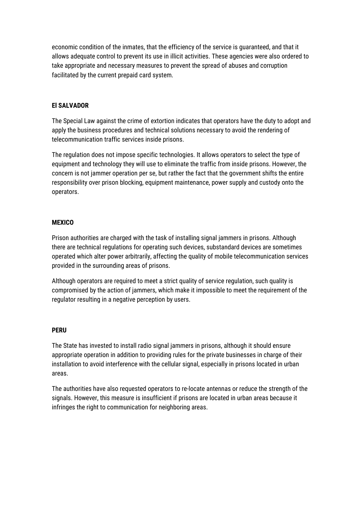economic condition of the inmates, that the efficiency of the service is guaranteed, and that it allows adequate control to prevent its use in illicit activities. These agencies were also ordered to take appropriate and necessary measures to prevent the spread of abuses and corruption facilitated by the current prepaid card system.

### **El SALVADOR**

The Special Law against the crime of extortion indicates that operators have the duty to adopt and apply the business procedures and technical solutions necessary to avoid the rendering of telecommunication traffic services inside prisons.

The regulation does not impose specific technologies. It allows operators to select the type of equipment and technology they will use to eliminate the traffic from inside prisons. However, the concern is not jammer operation per se, but rather the fact that the government shifts the entire responsibility over prison blocking, equipment maintenance, power supply and custody onto the operators.

#### **MEXICO**

Prison authorities are charged with the task of installing signal jammers in prisons. Although there are technical regulations for operating such devices, substandard devices are sometimes operated which alter power arbitrarily, affecting the quality of mobile telecommunication services provided in the surrounding areas of prisons.

Although operators are required to meet a strict quality of service regulation, such quality is compromised by the action of jammers, which make it impossible to meet the requirement of the regulator resulting in a negative perception by users.

#### **PERU**

The State has invested to install radio signal jammers in prisons, although it should ensure appropriate operation in addition to providing rules for the private businesses in charge of their installation to avoid interference with the cellular signal, especially in prisons located in urban areas.

The authorities have also requested operators to re-locate antennas or reduce the strength of the signals. However, this measure is insufficient if prisons are located in urban areas because it infringes the right to communication for neighboring areas.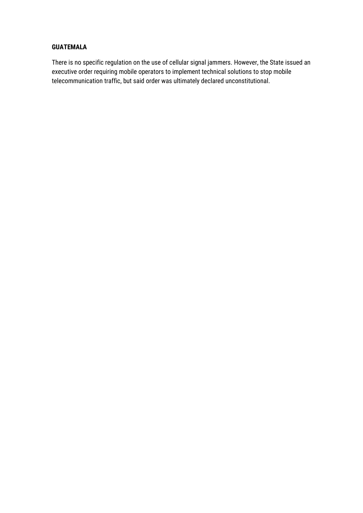### **GUATEMALA**

There is no specific regulation on the use of cellular signal jammers. However, the State issued an executive order requiring mobile operators to implement technical solutions to stop mobile telecommunication traffic, but said order was ultimately declared unconstitutional.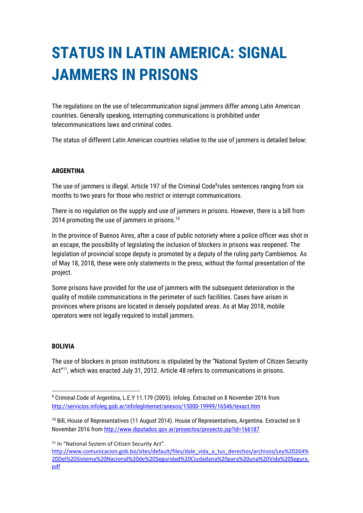# <span id="page-22-0"></span>**STATUS IN LATIN AMERICA: SIGNAL JAMMERS IN PRISONS**

The regulations on the use of telecommunication signal jammers differ among Latin American countries. Generally speaking, interrupting communications is prohibited under telecommunications laws and criminal codes.

The status of different Latin American countries relative to the use of jammers is detailed below:

### **ARGENTINA**

The use of jammers is illegal. Article 197 of the Criminal Code<sup>9</sup>rules sentences ranging from six months to two years for those who restrict or interrupt communications.

There is no regulation on the supply and use of jammers in prisons. However, there is a bill from 2014 promoting the use of jammers in prisons.<sup>10</sup>

In the province of Buenos Aires, after a case of public notoriety where a police officer was shot in an escape, the possibility of legislating the inclusion of blockers in prisons was reopened. The legislation of provincial scope deputy is promoted by a deputy of the ruling party Cambiemos. As of May 18, 2018, these were only statements in the press, without the formal presentation of the project.

Some prisons have provided for the use of jammers with the subsequent deterioration in the quality of mobile communications in the perimeter of such facilities. Cases have arisen in provinces where prisons are located in densely populated areas. As at May 2018, mobile operators were not legally required to install jammers.

#### **BOLIVIA**

**.** 

The use of blockers in prison institutions is stipulated by the "National System of Citizen Security Act"<sup>11</sup>, which was enacted July 31, 2012. Article 48 refers to communications in prisons.

<sup>11</sup> In "National System of Citizen Security Act".

[http://www.comunicacion.gob.bo/sites/default/files/dale\\_vida\\_a\\_tus\\_derechos/archivos/Ley%20264%](http://www.comunicacion.gob.bo/sites/default/files/dale_vida_a_tus_derechos/archivos/Ley%20264%20Del%20Sistema%20Nacional%20de%20Seguridad%20Ciudadana%20para%20una%20Vida%20Segura.pdf) [20Del%20Sistema%20Nacional%20de%20Seguridad%20Ciudadana%20para%20una%20Vida%20Segura.](http://www.comunicacion.gob.bo/sites/default/files/dale_vida_a_tus_derechos/archivos/Ley%20264%20Del%20Sistema%20Nacional%20de%20Seguridad%20Ciudadana%20para%20una%20Vida%20Segura.pdf) [pdf](http://www.comunicacion.gob.bo/sites/default/files/dale_vida_a_tus_derechos/archivos/Ley%20264%20Del%20Sistema%20Nacional%20de%20Seguridad%20Ciudadana%20para%20una%20Vida%20Segura.pdf)

<sup>9</sup> Criminal Code of Argentina, L.E.Y 11.179 (2005). Infoleg. Extracted on 8 November 2016 from <http://servicios.infoleg.gob.ar/infolegInternet/anexos/15000-19999/16546/texact.htm>

 $10$  Bill, House of Representatives (11 August 2014). House of Representatives, Argentina. Extracted on 8 November 2016 from http://www.diputados.gov.ar/provectos/provecto.jsp?id=166187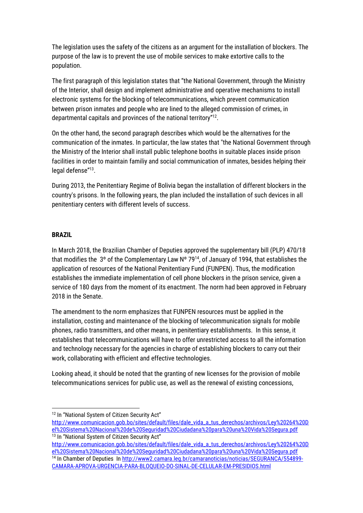The legislation uses the safety of the citizens as an argument for the installation of blockers. The purpose of the law is to prevent the use of mobile services to make extortive calls to the population.

The first paragraph of this legislation states that "the National Government, through the Ministry of the Interior, shall design and implement administrative and operative mechanisms to install electronic systems for the blocking of telecommunications, which prevent communication between prison inmates and people who are lined to the alleged commission of crimes, in departmental capitals and provinces of the national territory"<sup>12</sup>.

On the other hand, the second paragraph describes which would be the alternatives for the communication of the inmates. In particular, the law states that "the National Government through the Ministry of the Interior shall install public telephone booths in suitable places inside prison facilities in order to maintain familiy and social communication of inmates, besides helping their legal defense"<sup>13</sup> .

During 2013, the Penitentiary Regime of Bolivia began the installation of different blockers in the country's prisons. In the following years, the plan included the installation of such devices in all penitentiary centers with different levels of success.

### **BRAZIL**

 $\overline{a}$ 

In March 2018, the Brazilian Chamber of Deputies approved the supplementary bill (PLP) 470/18 that modifies the 3° of the Complementary Law  $N^{\circ}$  79<sup>14</sup>, of January of 1994, that establishes the application of resources of the National Penitentiary Fund (FUNPEN). Thus, the modification establishes the immediate implementation of cell phone blockers in the prison service, given a service of 180 days from the moment of its enactment. The norm had been approved in February 2018 in the Senate.

The amendment to the norm emphasizes that FUNPEN resources must be applied in the installation, costing and maintenance of the blocking of telecommunication signals for mobile phones, radio transmitters, and other means, in penitentiary establishments. In this sense, it establishes that telecommunications will have to offer unrestricted access to all the information and technology necessary for the agencies in charge of establishing blockers to carry out their work, collaborating with efficient and effective technologies.

Looking ahead, it should be noted that the granting of new licenses for the provision of mobile telecommunications services for public use, as well as the renewal of existing concessions,

[http://www.comunicacion.gob.bo/sites/default/files/dale\\_vida\\_a\\_tus\\_derechos/archivos/Ley%20264%20D](http://www.comunicacion.gob.bo/sites/default/files/dale_vida_a_tus_derechos/archivos/Ley%20264%20Del%20Sistema%20Nacional%20de%20Seguridad%20Ciudadana%20para%20una%20Vida%20Segura.pdf) [el%20Sistema%20Nacional%20de%20Seguridad%20Ciudadana%20para%20una%20Vida%20Segura.pdf](http://www.comunicacion.gob.bo/sites/default/files/dale_vida_a_tus_derechos/archivos/Ley%20264%20Del%20Sistema%20Nacional%20de%20Seguridad%20Ciudadana%20para%20una%20Vida%20Segura.pdf) <sup>14</sup> In Chamber of Deputies I[n http://www2.camara.leg.br/camaranoticias/noticias/SEGURANCA/554899-](http://www2.camara.leg.br/camaranoticias/noticias/SEGURANCA/554899-CAMARA-APROVA-URGENCIA-PARA-BLOQUEIO-DO-SINAL-DE-CELULAR-EM-PRESIDIOS.html)

[CAMARA-APROVA-URGENCIA-PARA-BLOQUEIO-DO-SINAL-DE-CELULAR-EM-PRESIDIOS.html](http://www2.camara.leg.br/camaranoticias/noticias/SEGURANCA/554899-CAMARA-APROVA-URGENCIA-PARA-BLOQUEIO-DO-SINAL-DE-CELULAR-EM-PRESIDIOS.html)

<sup>&</sup>lt;sup>12</sup> In "National System of Citizen Security Act"

[http://www.comunicacion.gob.bo/sites/default/files/dale\\_vida\\_a\\_tus\\_derechos/archivos/Ley%20264%20D](http://www.comunicacion.gob.bo/sites/default/files/dale_vida_a_tus_derechos/archivos/Ley%20264%20Del%20Sistema%20Nacional%20de%20Seguridad%20Ciudadana%20para%20una%20Vida%20Segura.pdf) [el%20Sistema%20Nacional%20de%20Seguridad%20Ciudadana%20para%20una%20Vida%20Segura.pdf](http://www.comunicacion.gob.bo/sites/default/files/dale_vida_a_tus_derechos/archivos/Ley%20264%20Del%20Sistema%20Nacional%20de%20Seguridad%20Ciudadana%20para%20una%20Vida%20Segura.pdf) <sup>13</sup> In "National System of Citizen Security Act"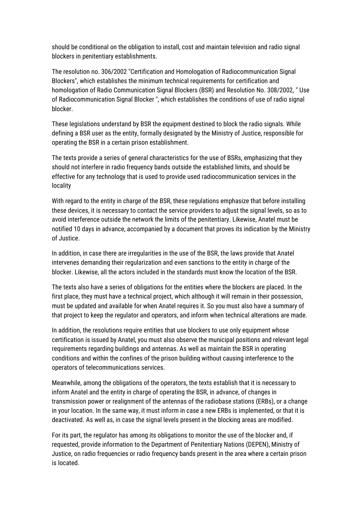should be conditional on the obligation to install, cost and maintain television and radio signal blockers in penitentiary establishments.

The resolution no. 306/2002 "Certification and Homologation of Radiocommunication Signal Blockers", which establishes the minimum technical requirements for certification and homologation of Radio Communication Signal Blockers (BSR) and Resolution No. 308/2002, " Use of Radiocommunication Signal Blocker ", which establishes the conditions of use of radio signal blocker.

These legislations understand by BSR the equipment destined to block the radio signals. While defining a BSR user as the entity, formally designated by the Ministry of Justice, responsible for operating the BSR in a certain prison establishment.

The texts provide a series of general characteristics for the use of BSRs, emphasizing that they should not interfere in radio frequency bands outside the established limits, and should be effective for any technology that is used to provide used radiocommunication services in the locality

With regard to the entity in charge of the BSR, these regulations emphasize that before installing these devices, it is necessary to contact the service providers to adjust the signal levels, so as to avoid interference outside the network the limits of the penitentiary. Likewise, Anatel must be notified 10 days in advance, accompanied by a document that proves its indication by the Ministry of Justice.

In addition, in case there are irregularities in the use of the BSR, the laws provide that Anatel intervenes demanding their regularization and even sanctions to the entity in charge of the blocker. Likewise, all the actors included in the standards must know the location of the BSR.

The texts also have a series of obligations for the entities where the blockers are placed. In the first place, they must have a technical project, which although it will remain in their possession, must be updated and available for when Anatel requires it. So you must also have a summary of that project to keep the regulator and operators, and inform when technical alterations are made.

In addition, the resolutions require entities that use blockers to use only equipment whose certification is issued by Anatel, you must also observe the municipal positions and relevant legal requirements regarding buildings and antennas. As well as maintain the BSR in operating conditions and within the confines of the prison building without causing interference to the operators of telecommunications services.

Meanwhile, among the obligations of the operators, the texts establish that it is necessary to inform Anatel and the entity in charge of operating the BSR, in advance, of changes in transmission power or realignment of the antennas of the radiobase stations (ERBs), or a change in your location. In the same way, it must inform in case a new ERBs is implemented, or that it is deactivated. As well as, in case the signal levels present in the blocking areas are modified.

For its part, the regulator has among its obligations to monitor the use of the blocker and, if requested, provide information to the Department of Penitentiary Nations (DEPEN), Ministry of Justice, on radio frequencies or radio frequency bands present in the area where a certain prison is located.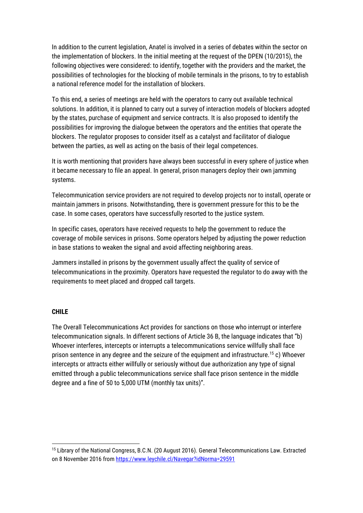In addition to the current legislation, Anatel is involved in a series of debates within the sector on the implementation of blockers. In the initial meeting at the request of the DPEN (10/2015), the following objectives were considered: to identify, together with the providers and the market, the possibilities of technologies for the blocking of mobile terminals in the prisons, to try to establish a national reference model for the installation of blockers.

To this end, a series of meetings are held with the operators to carry out available technical solutions. In addition, it is planned to carry out a survey of interaction models of blockers adopted by the states, purchase of equipment and service contracts. It is also proposed to identify the possibilities for improving the dialogue between the operators and the entities that operate the blockers. The regulator proposes to consider itself as a catalyst and facilitator of dialogue between the parties, as well as acting on the basis of their legal competences.

It is worth mentioning that providers have always been successful in every sphere of justice when it became necessary to file an appeal. In general, prison managers deploy their own jamming systems.

Telecommunication service providers are not required to develop projects nor to install, operate or maintain jammers in prisons. Notwithstanding, there is government pressure for this to be the case. In some cases, operators have successfully resorted to the justice system.

In specific cases, operators have received requests to help the government to reduce the coverage of mobile services in prisons. Some operators helped by adjusting the power reduction in base stations to weaken the signal and avoid affecting neighboring areas.

Jammers installed in prisons by the government usually affect the quality of service of telecommunications in the proximity. Operators have requested the regulator to do away with the requirements to meet placed and dropped call targets.

#### **CHILE**

1

The Overall Telecommunications Act provides for sanctions on those who interrupt or interfere telecommunication signals. In different sections of Article 36 B, the language indicates that "b) Whoever interferes, intercepts or interrupts a telecommunications service willfully shall face prison sentence in any degree and the seizure of the equipment and infrastructure.<sup>15</sup> c) Whoever intercepts or attracts either willfully or seriously without due authorization any type of signal emitted through a public telecommunications service shall face prison sentence in the middle degree and a fine of 50 to 5,000 UTM (monthly tax units)".

<sup>15</sup> Library of the National Congress, B.C.N. (20 August 2016). General Telecommunications Law. Extracted on 8 November 2016 from<https://www.leychile.cl/Navegar?idNorma=29591>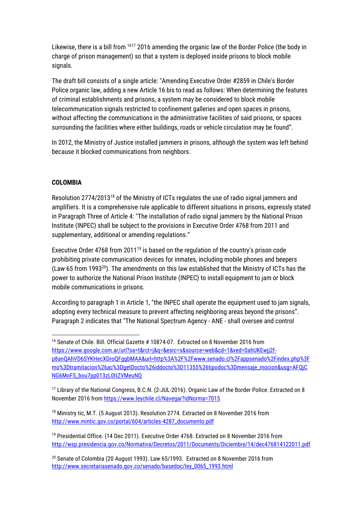Likewise, there is a bill from <sup>1617</sup> 2016 amending the organic law of the Border Police (the body in charge of prison management) so that a system is deployed inside prisons to block mobile signals.

The draft bill consists of a single article: "Amending Executive Order #2859 in Chile's Border Police organic law, adding a new Article 16 bis to read as follows: When determining the features of criminal establishments and prisons, a system may be considered to block mobile telecommunication signals restricted to confinement galleries and open spaces in prisons, without affecting the communications in the administrative facilities of said prisons, or spaces surrounding the facilities where either buildings, roads or vehicle circulation may be found".

In 2012, the Ministry of Justice installed jammers in prisons, although the system was left behind because it blocked communications from neighbors.

### **COLOMBIA**

**.** 

Resolution 2774/2013<sup>18</sup> of the Ministry of ICTs regulates the use of radio signal jammers and amplifiers. It is a comprehensive rule applicable to different situations in prisons, expressly stated in Paragraph Three of Article 4: "The installation of radio signal jammers by the National Prison Institute (INPEC) shall be subject to the provisions in Executive Order 4768 from 2011 and supplementary, additional or amending regulations."

Executive Order 4768 from 2011<sup>19</sup> is based on the regulation of the country's prison code prohibiting private communication devices for inmates, including mobile phones and beepers (Law 65 from 1993<sup>20</sup>). The amendments on this law established that the Ministry of ICTs has the power to authorize the National Prison Institute (INPEC) to install equipment to jam or block mobile communications in prisons.

According to paragraph 1 in Article 1, "the INPEC shall operate the equipment used to jam signals, adopting every technical measure to prevent affecting neighboring areas beyond the prisons". Paragraph 2 indicates that "The National Spectrum Agency - ANE - shall oversee and control

<sup>&</sup>lt;sup>16</sup> Senate of Chile. Bill. Official Gazette # 10874-07. Extracted on 8 November 2016 from [https://www.google.com.ar/url?sa=t&rct=j&q=&esrc=s&source=web&cd=1&ved=0ahUKEwjj2f](https://www.google.com.ar/url?sa=t&rct=j&q=&esrc=s&source=web&cd=1&ved=0ahUKEwjj2f-p8anQAhVD6SYKHecXDroQFggbMAA&url=http%3A%2F%2Fwww.senado.cl%2Fappsenado%2Findex.php%3Fmo%3Dtramitacion%26ac%3DgetDocto%26iddocto%3D11355%26tipodoc%3Dmensaje_mocion&usg=AFQjCNG6MoFS_bou7pp013zL0tIZVMeuNQ)[p8anQAhVD6SYKHecXDroQFggbMAA&url=http%3A%2F%2Fwww.senado.cl%2Fappsenado%2Findex.php%3F](https://www.google.com.ar/url?sa=t&rct=j&q=&esrc=s&source=web&cd=1&ved=0ahUKEwjj2f-p8anQAhVD6SYKHecXDroQFggbMAA&url=http%3A%2F%2Fwww.senado.cl%2Fappsenado%2Findex.php%3Fmo%3Dtramitacion%26ac%3DgetDocto%26iddocto%3D11355%26tipodoc%3Dmensaje_mocion&usg=AFQjCNG6MoFS_bou7pp013zL0tIZVMeuNQ) [mo%3Dtramitacion%26ac%3DgetDocto%26iddocto%3D11355%26tipodoc%3Dmensaje\\_mocion&usg=AFQjC](https://www.google.com.ar/url?sa=t&rct=j&q=&esrc=s&source=web&cd=1&ved=0ahUKEwjj2f-p8anQAhVD6SYKHecXDroQFggbMAA&url=http%3A%2F%2Fwww.senado.cl%2Fappsenado%2Findex.php%3Fmo%3Dtramitacion%26ac%3DgetDocto%26iddocto%3D11355%26tipodoc%3Dmensaje_mocion&usg=AFQjCNG6MoFS_bou7pp013zL0tIZVMeuNQ) [NG6MoFS\\_bou7pp013zL0tIZVMeuNQ](https://www.google.com.ar/url?sa=t&rct=j&q=&esrc=s&source=web&cd=1&ved=0ahUKEwjj2f-p8anQAhVD6SYKHecXDroQFggbMAA&url=http%3A%2F%2Fwww.senado.cl%2Fappsenado%2Findex.php%3Fmo%3Dtramitacion%26ac%3DgetDocto%26iddocto%3D11355%26tipodoc%3Dmensaje_mocion&usg=AFQjCNG6MoFS_bou7pp013zL0tIZVMeuNQ)

<sup>&</sup>lt;sup>17</sup> Library of the National Congress, B.C.N. (2-JUL-2016). Organic Law of the Border Police. Extracted on 8 November 2016 from<https://www.leychile.cl/Navegar?idNorma=7015>

<sup>&</sup>lt;sup>18</sup> Ministry tic, M.T. (5 August 2013). Resolution 2774. Extracted on 8 November 2016 from [http://www.mintic.gov.co/portal/604/articles-4287\\_documento.pdf](http://www.mintic.gov.co/portal/604/articles-4287_documento.pdf)

<sup>&</sup>lt;sup>19</sup> Presidential Office. (14 Dec 2011). Executive Order 4768. Extracted on 8 November 2016 from <http://wsp.presidencia.gov.co/Normativa/Decretos/2011/Documents/Diciembre/14/dec476814122011.pdf>

<sup>&</sup>lt;sup>20</sup> Senate of Colombia (20 August 1993). Law 65/1993. Extracted on 8 November 2016 from [http://www.secretariasenado.gov.co/senado/basedoc/ley\\_0065\\_1993.html](http://www.secretariasenado.gov.co/senado/basedoc/ley_0065_1993.html)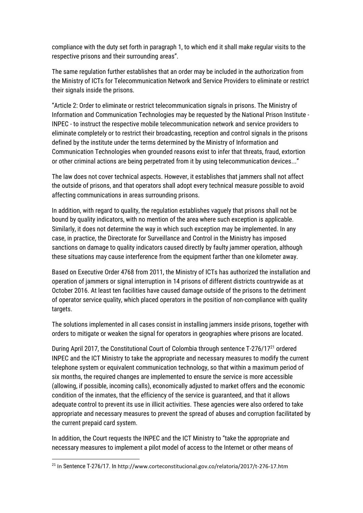compliance with the duty set forth in paragraph 1, to which end it shall make regular visits to the respective prisons and their surrounding areas".

The same regulation further establishes that an order may be included in the authorization from the Ministry of ICTs for Telecommunication Network and Service Providers to eliminate or restrict their signals inside the prisons.

"Article 2: Order to eliminate or restrict telecommunication signals in prisons. The Ministry of Information and Communication Technologies may be requested by the National Prison Institute - INPEC - to instruct the respective mobile telecommunication network and service providers to eliminate completely or to restrict their broadcasting, reception and control signals in the prisons defined by the institute under the terms determined by the Ministry of Information and Communication Technologies when grounded reasons exist to infer that threats, fraud, extortion or other criminal actions are being perpetrated from it by using telecommunication devices..."

The law does not cover technical aspects. However, it establishes that jammers shall not affect the outside of prisons, and that operators shall adopt every technical measure possible to avoid affecting communications in areas surrounding prisons.

In addition, with regard to quality, the regulation establishes vaguely that prisons shall not be bound by quality indicators, with no mention of the area where such exception is applicable. Similarly, it does not determine the way in which such exception may be implemented. In any case, in practice, the Directorate for Surveillance and Control in the Ministry has imposed sanctions on damage to quality indicators caused directly by faulty jammer operation, although these situations may cause interference from the equipment farther than one kilometer away.

Based on Executive Order 4768 from 2011, the Ministry of ICTs has authorized the installation and operation of jammers or signal interruption in 14 prisons of different districts countrywide as at October 2016. At least ten facilities have caused damage outside of the prisons to the detriment of operator service quality, which placed operators in the position of non-compliance with quality targets.

The solutions implemented in all cases consist in installing jammers inside prisons, together with orders to mitigate or weaken the signal for operators in geographies where prisons are located.

During April 2017, the Constitutional Court of Colombia through sentence T-276/17<sup>21</sup> ordered INPEC and the ICT Ministry to take the appropriate and necessary measures to modify the current telephone system or equivalent communication technology, so that within a maximum period of six months, the required changes are implemented to ensure the service is more accessible (allowing, if possible, incoming calls), economically adjusted to market offers and the economic condition of the inmates, that the efficiency of the service is guaranteed, and that it allows adequate control to prevent its use in illicit activities. These agencies were also ordered to take appropriate and necessary measures to prevent the spread of abuses and corruption facilitated by the current prepaid card system.

In addition, the Court requests the INPEC and the ICT Ministry to "take the appropriate and necessary measures to implement a pilot model of access to the Internet or other means of

1

<sup>21</sup> In Sentence T-276/17. In http://www.corteconstitucional.gov.co/relatoria/2017/t-276-17.htm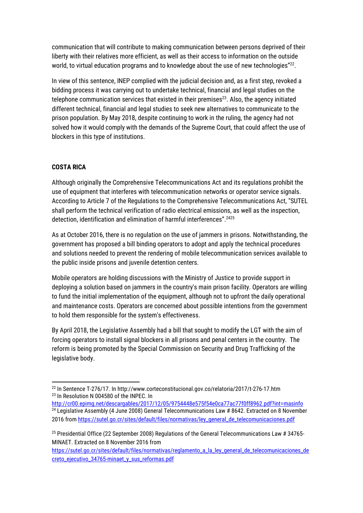communication that will contribute to making communication between persons deprived of their liberty with their relatives more efficient, as well as their access to information on the outside world, to virtual education programs and to knowledge about the use of new technologies"<sup>22</sup>.

In view of this sentence, INEP complied with the judicial decision and, as a first step, revoked a bidding process it was carrying out to undertake technical, financial and legal studies on the telephone communication services that existed in their premises $23$ . Also, the agency initiated different technical, financial and legal studies to seek new alternatives to communicate to the prison population. By May 2018, despite continuing to work in the ruling, the agency had not solved how it would comply with the demands of the Supreme Court, that could affect the use of blockers in this type of institutions.

### **COSTA RICA**

Although originally the Comprehensive Telecommunications Act and its regulations prohibit the use of equipment that interferes with telecommunication networks or operator service signals. According to Article 7 of the Regulations to the Comprehensive Telecommunications Act, "SUTEL shall perform the technical verification of radio electrical emissions, as well as the inspection, detection, identification and elimination of harmful interferences". <sup>2425</sup>

As at October 2016, there is no regulation on the use of jammers in prisons. Notwithstanding, the government has proposed a bill binding operators to adopt and apply the technical procedures and solutions needed to prevent the rendering of mobile telecommunication services available to the public inside prisons and juvenile detention centers.

Mobile operators are holding discussions with the Ministry of Justice to provide support in deploying a solution based on jammers in the country's main prison facility. Operators are willing to fund the initial implementation of the equipment, although not to upfront the daily operational and maintenance costs. Operators are concerned about possible intentions from the government to hold them responsible for the system's effectiveness.

By April 2018, the Legislative Assembly had a bill that sought to modify the LGT with the aim of forcing operators to install signal blockers in all prisons and penal centers in the country. The reform is being promoted by the Special Commission on Security and Drug Trafficking of the legislative body.

 $\overline{a}$ <sup>22</sup> In Sentence T-276/17. In http://www.corteconstitucional.gov.co/relatoria/2017/t-276-17.htm <sup>23</sup> In Resolution N 004580 of the INPEC. In

<http://cr00.epimg.net/descargables/2017/12/05/9754448e575f54e0ca77ac77f0ff8962.pdf?int=masinfo> <sup>24</sup> Legislative Assembly (4 June 2008) General Telecommunications Law # 8642. Extracted on 8 November 2016 from [https://sutel.go.cr/sites/default/files/normativas/ley\\_general\\_de\\_telecomunicaciones.pdf](https://sutel.go.cr/sites/default/files/normativas/ley_general_de_telecomunicaciones.pdf)

<sup>&</sup>lt;sup>25</sup> Presidential Office (22 September 2008) Regulations of the General Telecommunications Law # 34765-MINAET. Extracted on 8 November 2016 from

[https://sutel.go.cr/sites/default/files/normativas/reglamento\\_a\\_la\\_ley\\_general\\_de\\_telecomunicaciones\\_de](https://sutel.go.cr/sites/default/files/normativas/reglamento_a_la_ley_general_de_telecomunicaciones_decreto_ejecutivo_34765-minaet_y_sus_reformas.pdf) creto\_ejecutivo\_34765-minaet\_v\_sus\_reformas.pdf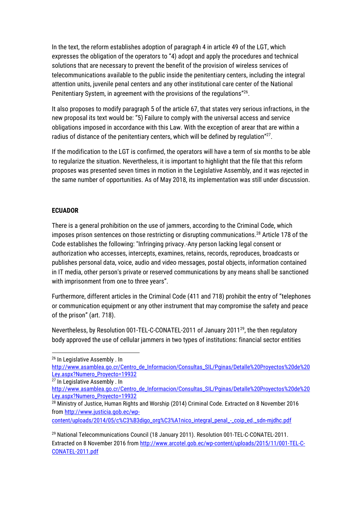In the text, the reform establishes adoption of paragraph 4 in article 49 of the LGT, which expresses the obligation of the operators to "4) adopt and apply the procedures and technical solutions that are necessary to prevent the benefit of the provision of wireless services of telecommunications available to the public inside the penitentiary centers, including the integral attention units, juvenile penal centers and any other institutional care center of the National Penitentiary System, in agreement with the provisions of the regulations"<sup>26</sup>.

It also proposes to modify paragraph 5 of the article 67, that states very serious infractions, in the new proposal its text would be: "5) Failure to comply with the universal access and service obligations imposed in accordance with this Law. With the exception of arear that are within a radius of distance of the penitentiary centers, which will be defined by regulation"<sup>27</sup>.

If the modification to the LGT is confirmed, the operators will have a term of six months to be able to regularize the situation. Nevertheless, it is important to highlight that the file that this reform proposes was presented seven times in motion in the Legislative Assembly, and it was rejected in the same number of opportunities. As of May 2018, its implementation was still under discussion.

### **ECUADOR**

There is a general prohibition on the use of jammers, according to the Criminal Code, which imposes prison sentences on those restricting or disrupting communications.<sup>28</sup> Article 178 of the Code establishes the following: "Infringing privacy.-Any person lacking legal consent or authorization who accesses, intercepts, examines, retains, records, reproduces, broadcasts or publishes personal data, voice, audio and video messages, postal objects, information contained in IT media, other person's private or reserved communications by any means shall be sanctioned with imprisonment from one to three years".

Furthermore, different articles in the Criminal Code (411 and 718) prohibit the entry of "telephones or communication equipment or any other instrument that may compromise the safety and peace of the prison" (art. 718).

Nevertheless, by Resolution 001-TEL-C-CONATEL-2011 of January 2011<sup>29</sup>, the then regulatory body approved the use of cellular jammers in two types of institutions: financial sector entities

1

[content/uploads/2014/05/c%C3%B3digo\\_org%C3%A1nico\\_integral\\_penal\\_-\\_coip\\_ed.\\_sdn-mjdhc.pdf](http://www.justicia.gob.ec/wp-content/uploads/2014/05/c%C3%B3digo_org%C3%A1nico_integral_penal_-_coip_ed._sdn-mjdhc.pdf)

<sup>26</sup> In Legislative Assembly . In

[http://www.asamblea.go.cr/Centro\\_de\\_Informacion/Consultas\\_SIL/Pginas/Detalle%20Proyectos%20de%20](http://www.asamblea.go.cr/Centro_de_Informacion/Consultas_SIL/Pginas/Detalle%20Proyectos%20de%20Ley.aspx?Numero_Proyecto=19932) [Ley.aspx?Numero\\_Proyecto=19932](http://www.asamblea.go.cr/Centro_de_Informacion/Consultas_SIL/Pginas/Detalle%20Proyectos%20de%20Ley.aspx?Numero_Proyecto=19932)

<sup>27</sup> In Legislative Assembly . In

[http://www.asamblea.go.cr/Centro\\_de\\_Informacion/Consultas\\_SIL/Pginas/Detalle%20Proyectos%20de%20](http://www.asamblea.go.cr/Centro_de_Informacion/Consultas_SIL/Pginas/Detalle%20Proyectos%20de%20Ley.aspx?Numero_Proyecto=19932) [Ley.aspx?Numero\\_Proyecto=19932](http://www.asamblea.go.cr/Centro_de_Informacion/Consultas_SIL/Pginas/Detalle%20Proyectos%20de%20Ley.aspx?Numero_Proyecto=19932)

<sup>28</sup> Ministry of Justice, Human Rights and Worship (2014) Criminal Code. Extracted on 8 November 2016 from [http://www.justicia.gob.ec/wp-](http://www.justicia.gob.ec/wp-content/uploads/2014/05/c%C3%B3digo_org%C3%A1nico_integral_penal_-_coip_ed._sdn-mjdhc.pdf)

<sup>29</sup> National Telecommunications Council (18 January 2011). Resolution 001-TEL-C-CONATEL-2011. Extracted on 8 November 2016 from [http://www.arcotel.gob.ec/wp-content/uploads/2015/11/001-TEL-C-](http://www.arcotel.gob.ec/wp-content/uploads/2015/11/001-TEL-C-CONATEL-2011.pdf)[CONATEL-2011.pdf](http://www.arcotel.gob.ec/wp-content/uploads/2015/11/001-TEL-C-CONATEL-2011.pdf)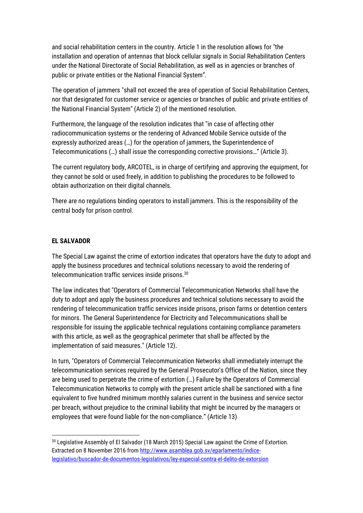and social rehabilitation centers in the country. Article 1 in the resolution allows for "the installation and operation of antennas that block cellular signals in Social Rehabilitation Centers under the National Directorate of Social Rehabilitation, as well as in agencies or branches of public or private entities or the National Financial System".

The operation of jammers "shall not exceed the area of operation of Social Rehabilitation Centers, nor that designated for customer service or agencies or branches of public and private entities of the National Financial System" (Article 2) of the mentioned resolution.

Furthermore, the language of the resolution indicates that "in case of affecting other radiocommunication systems or the rendering of Advanced Mobile Service outside of the expressly authorized areas (…) for the operation of jammers, the Superintendence of Telecommunications (…) shall issue the corresponding corrective provisions…" (Article 3).

The current regulatory body, ARCOTEL, is in charge of certifying and approving the equipment, for they cannot be sold or used freely, in addition to publishing the procedures to be followed to obtain authorization on their digital channels.

There are no regulations binding operators to install jammers. This is the responsibility of the central body for prison control.

### **EL SALVADOR**

**.** 

The Special Law against the crime of extortion indicates that operators have the duty to adopt and apply the business procedures and technical solutions necessary to avoid the rendering of telecommunication traffic services inside prisons.<sup>30</sup>

The law indicates that "Operators of Commercial Telecommunication Networks shall have the duty to adopt and apply the business procedures and technical solutions necessary to avoid the rendering of telecommunication traffic services inside prisons, prison farms or detention centers for minors. The General Superintendence for Electricity and Telecommunications shall be responsible for issuing the applicable technical regulations containing compliance parameters with this article, as well as the geographical perimeter that shall be affected by the implementation of said measures." (Article 12).

In turn, "Operators of Commercial Telecommunication Networks shall immediately interrupt the telecommunication services required by the General Prosecutor's Office of the Nation, since they are being used to perpetrate the crime of extortion (…) Failure by the Operators of Commercial Telecommunication Networks to comply with the present article shall be sanctioned with a fine equivalent to five hundred minimum monthly salaries current in the business and service sector per breach, without prejudice to the criminal liability that might be incurred by the managers or employees that were found liable for the non-compliance." (Article 13)

<sup>30</sup> Legislative Assembly of El Salvador (18 March 2015) Special Law against the Crime of Extortion. Extracted on 8 November 2016 from [http://www.asamblea.gob.sv/eparlamento/indice](http://www.asamblea.gob.sv/eparlamento/indice-legislativo/buscador-de-documentos-legislativos/ley-especial-contra-el-delito-de-extorsion)[legislativo/buscador-de-documentos-legislativos/ley-especial-contra-el-delito-de-extorsion](http://www.asamblea.gob.sv/eparlamento/indice-legislativo/buscador-de-documentos-legislativos/ley-especial-contra-el-delito-de-extorsion)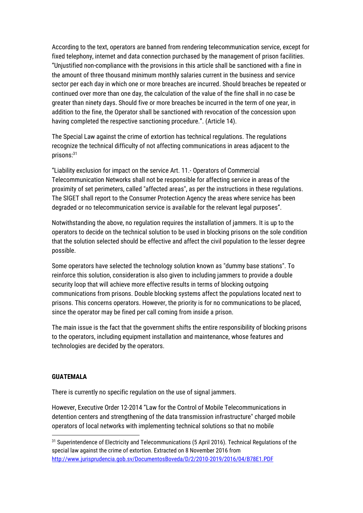According to the text, operators are banned from rendering telecommunication service, except for fixed telephony, internet and data connection purchased by the management of prison facilities. "Unjustified non-compliance with the provisions in this article shall be sanctioned with a fine in the amount of three thousand minimum monthly salaries current in the business and service sector per each day in which one or more breaches are incurred. Should breaches be repeated or continued over more than one day, the calculation of the value of the fine shall in no case be greater than ninety days. Should five or more breaches be incurred in the term of one year, in addition to the fine, the Operator shall be sanctioned with revocation of the concession upon having completed the respective sanctioning procedure.". (Article 14).

The Special Law against the crime of extortion has technical regulations. The regulations recognize the technical difficulty of not affecting communications in areas adjacent to the prisons:<sup>31</sup>

"Liability exclusion for impact on the service Art. 11.- Operators of Commercial Telecommunication Networks shall not be responsible for affecting service in areas of the proximity of set perimeters, called "affected areas", as per the instructions in these regulations. The SIGET shall report to the Consumer Protection Agency the areas where service has been degraded or no telecommunication service is available for the relevant legal purposes".

Notwithstanding the above, no regulation requires the installation of jammers. It is up to the operators to decide on the technical solution to be used in blocking prisons on the sole condition that the solution selected should be effective and affect the civil population to the lesser degree possible.

Some operators have selected the technology solution known as "dummy base stations". To reinforce this solution, consideration is also given to including jammers to provide a double security loop that will achieve more effective results in terms of blocking outgoing communications from prisons. Double blocking systems affect the populations located next to prisons. This concerns operators. However, the priority is for no communications to be placed, since the operator may be fined per call coming from inside a prison.

The main issue is the fact that the government shifts the entire responsibility of blocking prisons to the operators, including equipment installation and maintenance, whose features and technologies are decided by the operators.

#### **GUATEMALA**

**.** 

There is currently no specific regulation on the use of signal jammers.

However, Executive Order 12-2014 "Law for the Control of Mobile Telecommunications in detention centers and strengthening of the data transmission infrastructure" charged mobile operators of local networks with implementing technical solutions so that no mobile

<sup>&</sup>lt;sup>31</sup> Superintendence of Electricity and Telecommunications (5 April 2016). Technical Regulations of the special law against the crime of extortion. Extracted on 8 November 2016 from <http://www.jurisprudencia.gob.sv/DocumentosBoveda/D/2/2010-2019/2016/04/B78E1.PDF>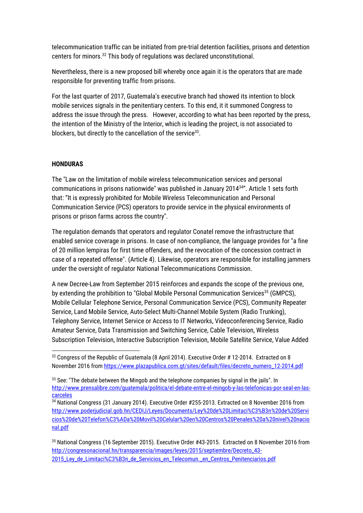telecommunication traffic can be initiated from pre-trial detention facilities, prisons and detention centers for minors.<sup>32</sup> This body of regulations was declared unconstitutional.

Nevertheless, there is a new proposed bill whereby once again it is the operators that are made responsible for preventing traffic from prisons.

For the last quarter of 2017, Guatemala's executive branch had showed its intention to block mobile services signals in the penitentiary centers. To this end, it it summoned Congress to address the issue through the press. However, according to what has been reported by the press, the intention of the Ministry of the Interior, which is leading the project, is not associated to blockers, but directly to the cancellation of the service $33$ .

### **HONDURAS**

The "Law on the limitation of mobile wireless telecommunication services and personal communications in prisons nationwide" was published in January 2014<sup>34</sup>". Article 1 sets forth that: "It is expressly prohibited for Mobile Wireless Telecommunication and Personal Communication Service (PCS) operators to provide service in the physical environments of prisons or prison farms across the country".

The regulation demands that operators and regulator Conatel remove the infrastructure that enabled service coverage in prisons. In case of non-compliance, the language provides for "a fine of 20 million lempiras for first time offenders, and the revocation of the concession contract in case of a repeated offense". (Article 4). Likewise, operators are responsible for installing jammers under the oversight of regulator National Telecommunications Commission.

A new Decree-Law from September 2015 reinforces and expands the scope of the previous one, by extending the prohibition to "Global Mobile Personal Communication Services<sup>35</sup> (GMPCS), Mobile Cellular Telephone Service, Personal Communication Service (PCS), Community Repeater Service, Land Mobile Service, Auto-Select Multi-Channel Mobile System (Radio Trunking), Telephony Service, Internet Service or Access to IT Networks, Videoconferencing Service, Radio Amateur Service, Data Transmission and Switching Service, Cable Television, Wireless Subscription Television, Interactive Subscription Television, Mobile Satellite Service, Value Added

<sup>35</sup> National Congress (16 September 2015). Executive Order #43-2015. Extracted on 8 November 2016 from [http://congresonacional.hn/transparencia/images/leyes/2015/septiembre/Decreto\\_43-](http://congresonacional.hn/transparencia/images/leyes/2015/septiembre/Decreto_43-2015_Ley_de_Limitaci%C3%B3n_de_Servicios_en_Telecomun._en_Centros_Penitenciarios.pdf) 2015 Ley de Limitaci%C3%B3n de Servicios en Telecomun. en Centros Penitenciarios.pdf

<sup>1</sup> <sup>32</sup> Congress of the Republic of Guatemala (8 April 2014). Executive Order # 12-2014. Extracted on 8 November 2016 from [https://www.plazapublica.com.gt/sites/default/files/decreto\\_numero\\_12-2014.pdf](https://www.plazapublica.com.gt/sites/default/files/decreto_numero_12-2014.pdf)

<sup>33</sup> See: "The debate between the Mingob and the telephone companies by signal in the jails". In [http://www.prensalibre.com/guatemala/politica/el-debate-entre-el-mingob-y-las-telefonicas-por-seal-en-las](http://www.prensalibre.com/guatemala/politica/el-debate-entre-el-mingob-y-las-telefonicas-por-seal-en-las-carceles)[carceles](http://www.prensalibre.com/guatemala/politica/el-debate-entre-el-mingob-y-las-telefonicas-por-seal-en-las-carceles)

<sup>34</sup> National Congress (31 January 2014). Executive Order #255-2013. Extracted on 8 November 2016 from [http://www.poderjudicial.gob.hn/CEDIJ/Leyes/Documents/Ley%20de%20Limitaci%C3%B3n%20de%20Servi](http://www.poderjudicial.gob.hn/CEDIJ/Leyes/Documents/Ley%20de%20Limitaci%C3%B3n%20de%20Servicios%20de%20Telefon%C3%ADa%20Movil%20Celular%20en%20Centros%20Penales%20a%20nivel%20nacional.pdf) [cios%20de%20Telefon%C3%ADa%20Movil%20Celular%20en%20Centros%20Penales%20a%20nivel%20nacio](http://www.poderjudicial.gob.hn/CEDIJ/Leyes/Documents/Ley%20de%20Limitaci%C3%B3n%20de%20Servicios%20de%20Telefon%C3%ADa%20Movil%20Celular%20en%20Centros%20Penales%20a%20nivel%20nacional.pdf) [nal.pdf](http://www.poderjudicial.gob.hn/CEDIJ/Leyes/Documents/Ley%20de%20Limitaci%C3%B3n%20de%20Servicios%20de%20Telefon%C3%ADa%20Movil%20Celular%20en%20Centros%20Penales%20a%20nivel%20nacional.pdf)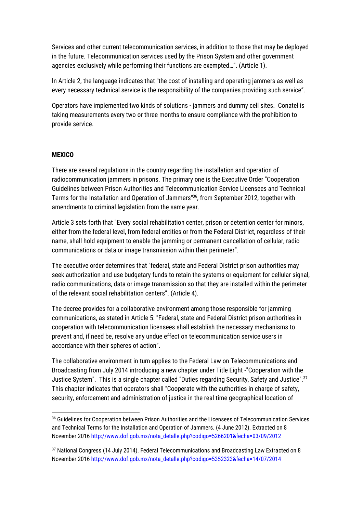Services and other current telecommunication services, in addition to those that may be deployed in the future. Telecommunication services used by the Prison System and other government agencies exclusively while performing their functions are exempted…". (Article 1).

In Article 2, the language indicates that "the cost of installing and operating jammers as well as every necessary technical service is the responsibility of the companies providing such service".

Operators have implemented two kinds of solutions - jammers and dummy cell sites. Conatel is taking measurements every two or three months to ensure compliance with the prohibition to provide service.

### **MEXICO**

1

There are several regulations in the country regarding the installation and operation of radiocommunication jammers in prisons. The primary one is the Executive Order "Cooperation Guidelines between Prison Authorities and Telecommunication Service Licensees and Technical Terms for the Installation and Operation of Jammers"<sup>36</sup>, from September 2012, together with amendments to criminal legislation from the same year.

Article 3 sets forth that "Every social rehabilitation center, prison or detention center for minors, either from the federal level, from federal entities or from the Federal District, regardless of their name, shall hold equipment to enable the jamming or permanent cancellation of cellular, radio communications or data or image transmission within their perimeter".

The executive order determines that "federal, state and Federal District prison authorities may seek authorization and use budgetary funds to retain the systems or equipment for cellular signal, radio communications, data or image transmission so that they are installed within the perimeter of the relevant social rehabilitation centers". (Article 4).

The decree provides for a collaborative environment among those responsible for jamming communications, as stated in Article 5: "Federal, state and Federal District prison authorities in cooperation with telecommunication licensees shall establish the necessary mechanisms to prevent and, if need be, resolve any undue effect on telecommunication service users in accordance with their spheres of action".

The collaborative environment in turn applies to the Federal Law on Telecommunications and Broadcasting from July 2014 introducing a new chapter under Title Eight -"Cooperation with the Justice System". This is a single chapter called "Duties regarding Security, Safety and Justice".<sup>37</sup> This chapter indicates that operators shall "Cooperate with the authorities in charge of safety, security, enforcement and administration of justice in the real time geographical location of

<sup>36</sup> Guidelines for Cooperation between Prison Authorities and the Licensees of Telecommunication Services and Technical Terms for the Installation and Operation of Jammers. (4 June 2012). Extracted on 8 November 201[6 http://www.dof.gob.mx/nota\\_detalle.php?codigo=5266201&fecha=03/09/2012](http://www.dof.gob.mx/nota_detalle.php?codigo=5266201&fecha=03/09/2012)

<sup>&</sup>lt;sup>37</sup> National Congress (14 July 2014). Federal Telecommunications and Broadcasting Law Extracted on 8 November 201[6 http://www.dof.gob.mx/nota\\_detalle.php?codigo=5352323&fecha=14/07/2014](http://www.dof.gob.mx/nota_detalle.php?codigo=5352323&fecha=14/07/2014)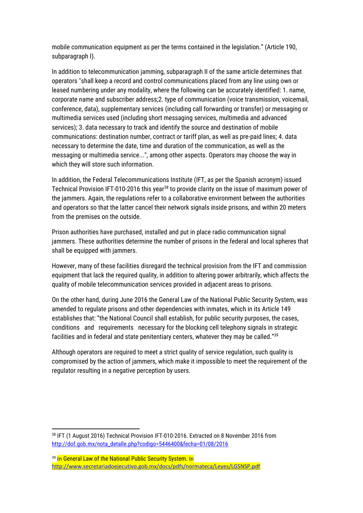mobile communication equipment as per the terms contained in the legislation." (Article 190, subparagraph I).

In addition to telecommunication jamming, subparagraph II of the same article determines that operators "shall keep a record and control communications placed from any line using own or leased numbering under any modality, where the following can be accurately identified: 1. name, corporate name and subscriber address;2. type of communication (voice transmission, voicemail, conference, data), supplementary services (including call forwarding or transfer) or messaging or multimedia services used (including short messaging services, multimedia and advanced services); 3. data necessary to track and identify the source and destination of mobile communications: destination number, contract or tariff plan, as well as pre-paid lines; 4. data necessary to determine the date, time and duration of the communication, as well as the messaging or multimedia service...", among other aspects. Operators may choose the way in which they will store such information.

In addition, the Federal Telecommunications Institute (IFT, as per the Spanish acronym) issued Technical Provision IFT-010-2016 this year<sup>38</sup> to provide clarity on the issue of maximum power of the jammers. Again, the regulations refer to a collaborative environment between the authorities and operators so that the latter cancel their network signals inside prisons, and within 20 meters from the premises on the outside.

Prison authorities have purchased, installed and put in place radio communication signal jammers. These authorities determine the number of prisons in the federal and local spheres that shall be equipped with jammers.

However, many of these facilities disregard the technical provision from the IFT and commission equipment that lack the required quality, in addition to altering power arbitrarily, which affects the quality of mobile telecommunication services provided in adjacent areas to prisons.

On the other hand, during June 2016 the General Law of the National Public Security System, was amended to regulate prisons and other dependencies with inmates, which in its Article 149 establishes that: "the National Council shall establish, for public security purposes, the cases, conditions and requirements necessary for the blocking cell telephony signals in strategic facilities and in federal and state penitentiary centers, whatever they may be called."<sup>39</sup>

Although operators are required to meet a strict quality of service regulation, such quality is compromised by the action of jammers, which make it impossible to meet the requirement of the regulator resulting in a negative perception by users.

<sup>1</sup> <sup>38</sup> IFT (1 August 2016) Technical Provision IFT-010-2016. Extracted on 8 November 2016 from [http://dof.gob.mx/nota\\_detalle.php?codigo=5446400&fecha=01/08/2016](http://dof.gob.mx/nota_detalle.php?codigo=5446400&fecha=01/08/2016)

<sup>&</sup>lt;sup>39</sup> In General Law of the National Public Security System. In <http://www.secretariadoejecutivo.gob.mx/docs/pdfs/normateca/Leyes/LGSNSP.pdf>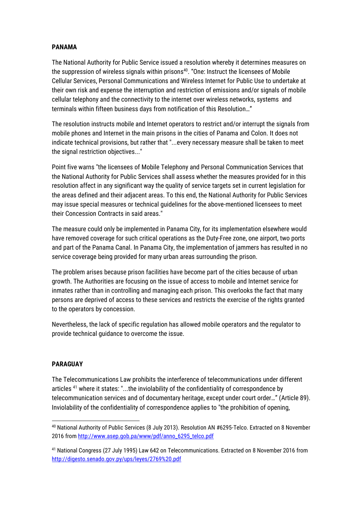### **PANAMA**

The National Authority for Public Service issued a resolution whereby it determines measures on the suppression of wireless signals within prisons<sup>40</sup>. "One: Instruct the licensees of Mobile Cellular Services, Personal Communications and Wireless Internet for Public Use to undertake at their own risk and expense the interruption and restriction of emissions and/or signals of mobile cellular telephony and the connectivity to the internet over wireless networks, systems and terminals within fifteen business days from notification of this Resolution…"

The resolution instructs mobile and Internet operators to restrict and/or interrupt the signals from mobile phones and Internet in the main prisons in the cities of Panama and Colon. It does not indicate technical provisions, but rather that "...every necessary measure shall be taken to meet the signal restriction objectives..."

Point five warns "the licensees of Mobile Telephony and Personal Communication Services that the National Authority for Public Services shall assess whether the measures provided for in this resolution affect in any significant way the quality of service targets set in current legislation for the areas defined and their adjacent areas. To this end, the National Authority for Public Services may issue special measures or technical guidelines for the above-mentioned licensees to meet their Concession Contracts in said areas."

The measure could only be implemented in Panama City, for its implementation elsewhere would have removed coverage for such critical operations as the Duty-Free zone, one airport, two ports and part of the Panama Canal. In Panama City, the implementation of jammers has resulted in no service coverage being provided for many urban areas surrounding the prison.

The problem arises because prison facilities have become part of the cities because of urban growth. The Authorities are focusing on the issue of access to mobile and Internet service for inmates rather than in controlling and managing each prison. This overlooks the fact that many persons are deprived of access to these services and restricts the exercise of the rights granted to the operators by concession.

Nevertheless, the lack of specific regulation has allowed mobile operators and the regulator to provide technical guidance to overcome the issue.

### **PARAGUAY**

The Telecommunications Law prohibits the interference of telecommunications under different articles<sup>41</sup> where it states: "...the inviolability of the confidentiality of correspondence by telecommunication services and of documentary heritage, except under court order…" (Article 89). Inviolability of the confidentiality of correspondence applies to "the prohibition of opening,

<sup>1</sup> <sup>40</sup> National Authority of Public Services (8 July 2013). Resolution AN #6295-Telco. Extracted on 8 November 2016 from [http://www.asep.gob.pa/www/pdf/anno\\_6295\\_telco.pdf](http://www.asep.gob.pa/www/pdf/anno_6295_telco.pdf)

<sup>41</sup> National Congress (27 July 1995) Law 642 on Telecommunications. Extracted on 8 November 2016 from <http://digesto.senado.gov.py/ups/leyes/2769%20.pdf>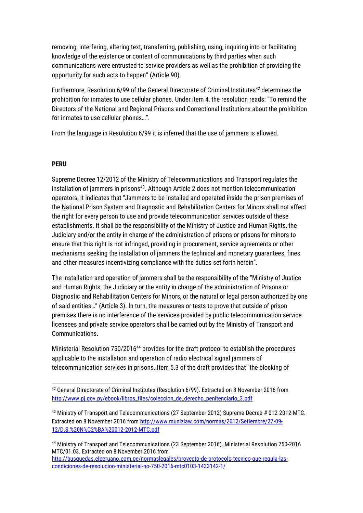removing, interfering, altering text, transferring, publishing, using, inquiring into or facilitating knowledge of the existence or content of communications by third parties when such communications were entrusted to service providers as well as the prohibition of providing the opportunity for such acts to happen" (Article 90).

Furthermore, Resolution 6/99 of the General Directorate of Criminal Institutes<sup>42</sup> determines the prohibition for inmates to use cellular phones. Under item 4, the resolution reads: "To remind the Directors of the National and Regional Prisons and Correctional Institutions about the prohibition for inmates to use cellular phones…".

From the language in Resolution 6/99 it is inferred that the use of jammers is allowed.

#### **PERU**

1

Supreme Decree 12/2012 of the Ministry of Telecommunications and Transport regulates the installation of jammers in prisons<sup>43</sup>. Although Article 2 does not mention telecommunication operators, it indicates that "Jammers to be installed and operated inside the prison premises of the National Prison System and Diagnostic and Rehabilitation Centers for Minors shall not affect the right for every person to use and provide telecommunication services outside of these establishments. It shall be the responsibility of the Ministry of Justice and Human Rights, the Judiciary and/or the entity in charge of the administration of prisons or prisons for minors to ensure that this right is not infringed, providing in procurement, service agreements or other mechanisms seeking the installation of jammers the technical and monetary guarantees, fines and other measures incentivizing compliance with the duties set forth herein".

The installation and operation of jammers shall be the responsibility of the "Ministry of Justice and Human Rights, the Judiciary or the entity in charge of the administration of Prisons or Diagnostic and Rehabilitation Centers for Minors, or the natural or legal person authorized by one of said entities…" (Article 3). In turn, the measures or tests to prove that outside of prison premises there is no interference of the services provided by public telecommunication service licensees and private service operators shall be carried out by the Ministry of Transport and Communications.

Ministerial Resolution 750/2016<sup>44</sup> provides for the draft protocol to establish the procedures applicable to the installation and operation of radio electrical signal jammers of telecommunication services in prisons. Item 5.3 of the draft provides that "the blocking of

<sup>&</sup>lt;sup>42</sup> General Directorate of Criminal Institutes (Resolution 6/99). Extracted on 8 November 2016 from [http://www.pj.gov.py/ebook/libros\\_files/coleccion\\_de\\_derecho\\_penitenciario\\_3.pdf](http://www.pj.gov.py/ebook/libros_files/coleccion_de_derecho_penitenciario_3.pdf)

<sup>43</sup> Ministry of Transport and Telecommunications (27 September 2012) Supreme Decree # 012-2012-MTC. Extracted on 8 November 2016 from [http://www.munizlaw.com/normas/2012/Setiembre/27-09-](http://www.munizlaw.com/normas/2012/Setiembre/27-09-12/D.S.%20N%C2%BA%20012-2012-MTC.pdf) [12/D.S.%20N%C2%BA%20012-2012-MTC.pdf](http://www.munizlaw.com/normas/2012/Setiembre/27-09-12/D.S.%20N%C2%BA%20012-2012-MTC.pdf)

<sup>44</sup> Ministry of Transport and Telecommunications (23 September 2016). Ministerial Resolution 750-2016 MTC/01.03. Extracted on 8 November 2016 from

[http://busquedas.elperuano.com.pe/normaslegales/proyecto-de-protocolo-tecnico-que-regula-las](http://busquedas.elperuano.com.pe/normaslegales/proyecto-de-protocolo-tecnico-que-regula-las-condiciones-de-resolucion-ministerial-no-750-2016-mtc0103-1433142-1/)[condiciones-de-resolucion-ministerial-no-750-2016-mtc0103-1433142-1/](http://busquedas.elperuano.com.pe/normaslegales/proyecto-de-protocolo-tecnico-que-regula-las-condiciones-de-resolucion-ministerial-no-750-2016-mtc0103-1433142-1/)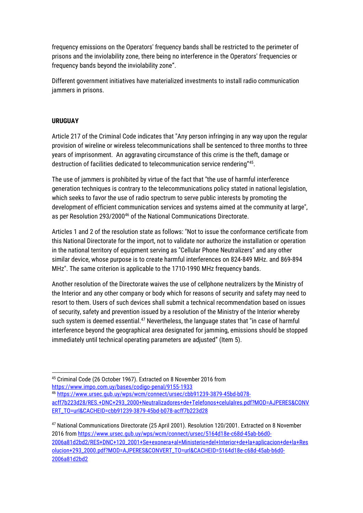frequency emissions on the Operators' frequency bands shall be restricted to the perimeter of prisons and the inviolability zone, there being no interference in the Operators' frequencies or frequency bands beyond the inviolability zone".

Different government initiatives have materialized investments to install radio communication jammers in prisons.

### **URUGUAY**

Article 217 of the Criminal Code indicates that "Any person infringing in any way upon the regular provision of wireline or wireless telecommunications shall be sentenced to three months to three years of imprisonment. An aggravating circumstance of this crime is the theft, damage or destruction of facilities dedicated to telecommunication service rendering"<sup>45</sup>.

The use of jammers is prohibited by virtue of the fact that "the use of harmful interference generation techniques is contrary to the telecommunications policy stated in national legislation, which seeks to favor the use of radio spectrum to serve public interests by promoting the development of efficient communication services and systems aimed at the community at large", as per Resolution 293/2000<sup>46</sup> of the National Communications Directorate.

Articles 1 and 2 of the resolution state as follows: "Not to issue the conformance certificate from this National Directorate for the import, not to validate nor authorize the installation or operation in the national territory of equipment serving as "Cellular Phone Neutralizers" and any other similar device, whose purpose is to create harmful interferences on 824-849 MHz. and 869-894 MHz". The same criterion is applicable to the 1710-1990 MHz frequency bands.

Another resolution of the Directorate waives the use of cellphone neutralizers by the Ministry of the Interior and any other company or body which for reasons of security and safety may need to resort to them. Users of such devices shall submit a technical recommendation based on issues of security, safety and prevention issued by a resolution of the Ministry of the Interior whereby such system is deemed essential. $47$  Nevertheless, the language states that "in case of harmful interference beyond the geographical area designated for jamming, emissions should be stopped immediately until technical operating parameters are adjusted" (Item 5).

<sup>46</sup> [https://www.ursec.gub.uy/wps/wcm/connect/ursec/cbb91239-3879-45bd-b078](https://www.ursec.gub.uy/wps/wcm/connect/ursec/cbb91239-3879-45bd-b078-acff7b223d28/RES.+DNC+293_2000+Neutralizadores+de+Telefonos+celulalres.pdf?MOD=AJPERES&CONVERT_TO=url&CACHEID=cbb91239-3879-45bd-b078-acff7b223d28) [acff7b223d28/RES.+DNC+293\\_2000+Neutralizadores+de+Telefonos+celulalres.pdf?MOD=AJPERES&CONV](https://www.ursec.gub.uy/wps/wcm/connect/ursec/cbb91239-3879-45bd-b078-acff7b223d28/RES.+DNC+293_2000+Neutralizadores+de+Telefonos+celulalres.pdf?MOD=AJPERES&CONVERT_TO=url&CACHEID=cbb91239-3879-45bd-b078-acff7b223d28) [ERT\\_TO=url&CACHEID=cbb91239-3879-45bd-b078-acff7b223d28](https://www.ursec.gub.uy/wps/wcm/connect/ursec/cbb91239-3879-45bd-b078-acff7b223d28/RES.+DNC+293_2000+Neutralizadores+de+Telefonos+celulalres.pdf?MOD=AJPERES&CONVERT_TO=url&CACHEID=cbb91239-3879-45bd-b078-acff7b223d28)

<sup>47</sup> National Communications Directorate (25 April 2001). Resolution 120/2001. Extracted on 8 November 2016 from [https://www.ursec.gub.uy/wps/wcm/connect/ursec/5164d18e-c68d-45ab-b6d0-](https://www.ursec.gub.uy/wps/wcm/connect/ursec/5164d18e-c68d-45ab-b6d0-2006a81d2bd2/RES+DNC+120_2001+Se+exonera+al+Ministerio+del+Interior+de+la+aplicacion+de+la+Resolucion+293_2000.pdf?MOD=AJPERES&CONVERT_TO=url&CACHEID=5164d18e-c68d-45ab-b6d0-2006a81d2bd2) [2006a81d2bd2/RES+DNC+120\\_2001+Se+exonera+al+Ministerio+del+Interior+de+la+aplicacion+de+la+Res](https://www.ursec.gub.uy/wps/wcm/connect/ursec/5164d18e-c68d-45ab-b6d0-2006a81d2bd2/RES+DNC+120_2001+Se+exonera+al+Ministerio+del+Interior+de+la+aplicacion+de+la+Resolucion+293_2000.pdf?MOD=AJPERES&CONVERT_TO=url&CACHEID=5164d18e-c68d-45ab-b6d0-2006a81d2bd2) [olucion+293\\_2000.pdf?MOD=AJPERES&CONVERT\\_TO=url&CACHEID=5164d18e-c68d-45ab-b6d0-](https://www.ursec.gub.uy/wps/wcm/connect/ursec/5164d18e-c68d-45ab-b6d0-2006a81d2bd2/RES+DNC+120_2001+Se+exonera+al+Ministerio+del+Interior+de+la+aplicacion+de+la+Resolucion+293_2000.pdf?MOD=AJPERES&CONVERT_TO=url&CACHEID=5164d18e-c68d-45ab-b6d0-2006a81d2bd2) [2006a81d2bd2](https://www.ursec.gub.uy/wps/wcm/connect/ursec/5164d18e-c68d-45ab-b6d0-2006a81d2bd2/RES+DNC+120_2001+Se+exonera+al+Ministerio+del+Interior+de+la+aplicacion+de+la+Resolucion+293_2000.pdf?MOD=AJPERES&CONVERT_TO=url&CACHEID=5164d18e-c68d-45ab-b6d0-2006a81d2bd2)

**<sup>.</sup>** <sup>45</sup> Criminal Code (26 October 1967). Extracted on 8 November 2016 from <https://www.impo.com.uy/bases/codigo-penal/9155-1933>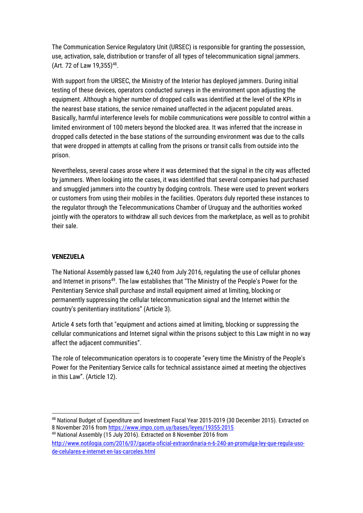The Communication Service Regulatory Unit (URSEC) is responsible for granting the possession, use, activation, sale, distribution or transfer of all types of telecommunication signal jammers. (Art. 72 of Law 19,355)<sup>48</sup>.

With support from the URSEC, the Ministry of the Interior has deployed jammers. During initial testing of these devices, operators conducted surveys in the environment upon adjusting the equipment. Although a higher number of dropped calls was identified at the level of the KPIs in the nearest base stations, the service remained unaffected in the adjacent populated areas. Basically, harmful interference levels for mobile communications were possible to control within a limited environment of 100 meters beyond the blocked area. It was inferred that the increase in dropped calls detected in the base stations of the surrounding environment was due to the calls that were dropped in attempts at calling from the prisons or transit calls from outside into the prison.

Nevertheless, several cases arose where it was determined that the signal in the city was affected by jammers. When looking into the cases, it was identified that several companies had purchased and smuggled jammers into the country by dodging controls. These were used to prevent workers or customers from using their mobiles in the facilities. Operators duly reported these instances to the regulator through the Telecommunications Chamber of Uruguay and the authorities worked jointly with the operators to withdraw all such devices from the marketplace, as well as to prohibit their sale.

### **VENEZUELA**

 $\overline{a}$ 

The National Assembly passed law 6,240 from July 2016, regulating the use of cellular phones and Internet in prisons<sup>49</sup>. The law establishes that "The Ministry of the People's Power for the Penitentiary Service shall purchase and install equipment aimed at limiting, blocking or permanently suppressing the cellular telecommunication signal and the Internet within the country's penitentiary institutions" (Article 3).

Article 4 sets forth that "equipment and actions aimed at limiting, blocking or suppressing the cellular communications and Internet signal within the prisons subject to this Law might in no way affect the adjacent communities".

The role of telecommunication operators is to cooperate "every time the Ministry of the People's Power for the Penitentiary Service calls for technical assistance aimed at meeting the objectives in this Law". (Article 12).

<sup>48</sup> National Budget of Expenditure and Investment Fiscal Year 2015-2019 (30 December 2015). Extracted on 8 November 2016 from<https://www.impo.com.uy/bases/leyes/19355-2015>

<sup>49</sup> National Assembly (15 July 2016). Extracted on 8 November 2016 from

[http://www.notilogia.com/2016/07/gaceta-oficial-extraordinaria-n-6-240-an-promulga-ley-que-regula-uso](http://www.notilogia.com/2016/07/gaceta-oficial-extraordinaria-n-6-240-an-promulga-ley-que-regula-uso-de-celulares-e-internet-en-las-carceles.html)[de-celulares-e-internet-en-las-carceles.html](http://www.notilogia.com/2016/07/gaceta-oficial-extraordinaria-n-6-240-an-promulga-ley-que-regula-uso-de-celulares-e-internet-en-las-carceles.html)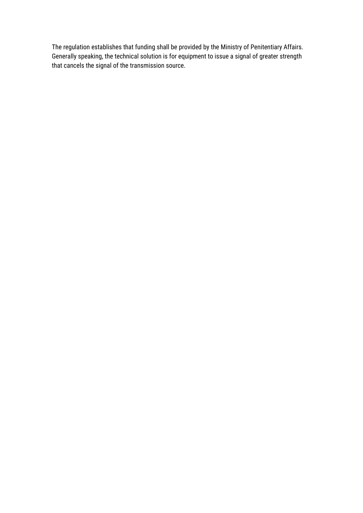The regulation establishes that funding shall be provided by the Ministry of Penitentiary Affairs. Generally speaking, the technical solution is for equipment to issue a signal of greater strength that cancels the signal of the transmission source.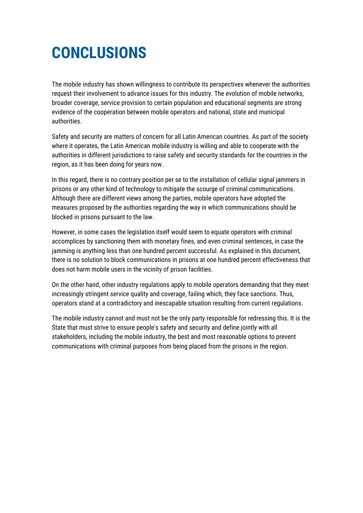### <span id="page-40-0"></span>**CONCLUSIONS**

The mobile industry has shown willingness to contribute its perspectives whenever the authorities request their involvement to advance issues for this industry. The evolution of mobile networks, broader coverage, service provision to certain population and educational segments are strong evidence of the cooperation between mobile operators and national, state and municipal authorities.

Safety and security are matters of concern for all Latin American countries. As part of the society where it operates, the Latin American mobile industry is willing and able to cooperate with the authorities in different jurisdictions to raise safety and security standards for the countries in the region, as it has been doing for years now.

In this regard, there is no contrary position per se to the installation of cellular signal jammers in prisons or any other kind of technology to mitigate the scourge of criminal communications. Although there are different views among the parties, mobile operators have adopted the measures proposed by the authorities regarding the way in which communications should be blocked in prisons pursuant to the law.

However, in some cases the legislation itself would seem to equate operators with criminal accomplices by sanctioning them with monetary fines, and even criminal sentences, in case the jamming is anything less than one hundred percent successful. As explained in this document, there is no solution to block communications in prisons at one hundred percent effectiveness that does not harm mobile users in the vicinity of prison facilities.

On the other hand, other industry regulations apply to mobile operators demanding that they meet increasingly stringent service quality and coverage, failing which, they face sanctions. Thus, operators stand at a contradictory and inescapable situation resulting from current regulations.

The mobile industry cannot and must not be the only party responsible for redressing this. It is the State that must strive to ensure people's safety and security and define jointly with all stakeholders, including the mobile industry, the best and most reasonable options to prevent communications with criminal purposes from being placed from the prisons in the region.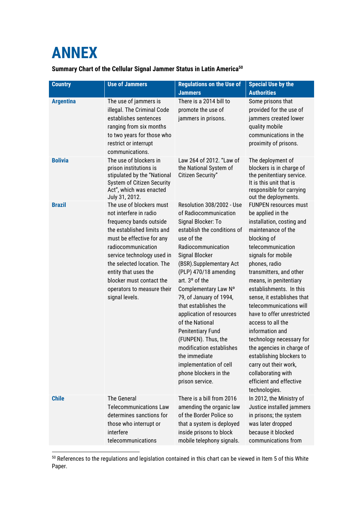### <span id="page-41-0"></span>**ANNEX**

 $\overline{a}$ 

### **Summary Chart of the Cellular Signal Jammer Status in Latin America<sup>50</sup>**

| <b>Country</b>   | <b>Use of Jammers</b>                                                                                                                                                                                                                                                                                                          | <b>Regulations on the Use of</b><br><b>Jammers</b>                                                                                                                                                                                                                                                                                                                                                                                                                                                                                  | <b>Special Use by the</b><br><b>Authorities</b>                                                                                                                                                                                                                                                                                                                                                                                                                                                                                                                                |
|------------------|--------------------------------------------------------------------------------------------------------------------------------------------------------------------------------------------------------------------------------------------------------------------------------------------------------------------------------|-------------------------------------------------------------------------------------------------------------------------------------------------------------------------------------------------------------------------------------------------------------------------------------------------------------------------------------------------------------------------------------------------------------------------------------------------------------------------------------------------------------------------------------|--------------------------------------------------------------------------------------------------------------------------------------------------------------------------------------------------------------------------------------------------------------------------------------------------------------------------------------------------------------------------------------------------------------------------------------------------------------------------------------------------------------------------------------------------------------------------------|
| <b>Argentina</b> | The use of jammers is<br>illegal. The Criminal Code<br>establishes sentences<br>ranging from six months<br>to two years for those who<br>restrict or interrupt<br>communications.                                                                                                                                              | There is a 2014 bill to<br>promote the use of<br>jammers in prisons.                                                                                                                                                                                                                                                                                                                                                                                                                                                                | Some prisons that<br>provided for the use of<br>jammers created lower<br>quality mobile<br>communications in the<br>proximity of prisons.                                                                                                                                                                                                                                                                                                                                                                                                                                      |
| <b>Bolivia</b>   | The use of blockers in<br>prison institutions is<br>stipulated by the "National<br>System of Citizen Security<br>Act", which was enacted<br>July 31, 2012.                                                                                                                                                                     | Law 264 of 2012. "Law of<br>the National System of<br><b>Citizen Security"</b>                                                                                                                                                                                                                                                                                                                                                                                                                                                      | The deployment of<br>blockers is in charge of<br>the penitentiary service.<br>It is this unit that is<br>responsible for carrying<br>out the deployments.                                                                                                                                                                                                                                                                                                                                                                                                                      |
| <b>Brazil</b>    | The use of blockers must<br>not interfere in radio<br>frequency bands outside<br>the established limits and<br>must be effective for any<br>radiocommunication<br>service technology used in<br>the selected location. The<br>entity that uses the<br>blocker must contact the<br>operators to measure their<br>signal levels. | Resolution 308/2002 - Use<br>of Radiocommunication<br>Signal Blocker: To<br>establish the conditions of<br>use of the<br>Radiocommunication<br>Signal Blocker<br>(BSR).Supplementary Act<br>(PLP) 470/18 amending<br>art. 3° of the<br>Complementary Law Nº<br>79, of January of 1994,<br>that establishes the<br>application of resources<br>of the National<br><b>Penitentiary Fund</b><br>(FUNPEN). Thus, the<br>modification establishes<br>the immediate<br>implementation of cell<br>phone blockers in the<br>prison service. | <b>FUNPEN resources must</b><br>be applied in the<br>installation, costing and<br>maintenance of the<br>blocking of<br>telecommunication<br>signals for mobile<br>phones, radio<br>transmitters, and other<br>means, in penitentiary<br>establishments. In this<br>sense, it establishes that<br>telecommunications will<br>have to offer unrestricted<br>access to all the<br>information and<br>technology necessary for<br>the agencies in charge of<br>establishing blockers to<br>carry out their work,<br>collaborating with<br>efficient and effective<br>technologies. |
| <b>Chile</b>     | <b>The General</b><br><b>Telecommunications Law</b><br>determines sanctions for<br>those who interrupt or<br>interfere<br>telecommunications                                                                                                                                                                                   | There is a bill from 2016<br>amending the organic law<br>of the Border Police so<br>that a system is deployed<br>inside prisons to block<br>mobile telephony signals.                                                                                                                                                                                                                                                                                                                                                               | In 2012, the Ministry of<br>Justice installed jammers<br>in prisons; the system<br>was later dropped<br>because it blocked<br>communications from                                                                                                                                                                                                                                                                                                                                                                                                                              |

 $^{50}$  References to the regulations and legislation contained in this chart can be viewed in Item 5 of this White Paper.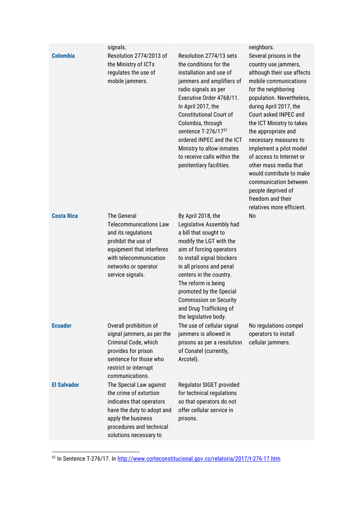|                    | signals.                                                                                                                                                                                      |                                                                                                                                                                                                                                                                                                                                                                                        | neighbors.                                                                                                                                                                                                                                                                                                                                                                                                                                                                                             |
|--------------------|-----------------------------------------------------------------------------------------------------------------------------------------------------------------------------------------------|----------------------------------------------------------------------------------------------------------------------------------------------------------------------------------------------------------------------------------------------------------------------------------------------------------------------------------------------------------------------------------------|--------------------------------------------------------------------------------------------------------------------------------------------------------------------------------------------------------------------------------------------------------------------------------------------------------------------------------------------------------------------------------------------------------------------------------------------------------------------------------------------------------|
| <b>Colombia</b>    | Resolution 2774/2013 of<br>the Ministry of ICTs<br>regulates the use of<br>mobile jammers.                                                                                                    | Resolution 2774/13 sets<br>the conditions for the<br>installation and use of<br>jammers and amplifiers of<br>radio signals as per<br>Executive Order 4768/11.<br>In April 2017, the<br><b>Constitutional Court of</b><br>Colombia, through<br>sentence T-276/1751<br>ordered INPEC and the ICT<br>Ministry to allow inmates<br>to receive calls within the<br>penitentiary facilities. | Several prisons in the<br>country use jammers,<br>although their use affects<br>mobile communications<br>for the neighboring<br>population. Nevertheless,<br>during April 2017, the<br>Court asked INPEC and<br>the ICT Ministry to takes<br>the appropriate and<br>necessary measures to<br>implement a pilot model<br>of access to Internet or<br>other mass media that<br>would contribute to make<br>communication between<br>people deprived of<br>freedom and their<br>relatives more efficient. |
| <b>Costa Rica</b>  | The General<br><b>Telecommunications Law</b><br>and its regulations<br>prohibit the use of<br>equipment that interferes<br>with telecommunication<br>networks or operator<br>service signals. | By April 2018, the<br>Legislative Assembly had<br>a bill that sought to<br>modify the LGT with the<br>aim of forcing operators<br>to install signal blockers<br>in all prisons and penal<br>centers in the country.<br>The reform is being<br>promoted by the Special<br><b>Commission on Security</b><br>and Drug Trafficking of<br>the legislative body.                             | No                                                                                                                                                                                                                                                                                                                                                                                                                                                                                                     |
| <b>Ecuador</b>     | Overall prohibition of<br>signal jammers, as per the<br>Criminal Code, which<br>provides for prison<br>sentence for those who<br>restrict or interrupt<br>communications.                     | The use of cellular signal<br>jammers is allowed in<br>prisons as per a resolution<br>of Conatel (currently,<br>Arcotel).                                                                                                                                                                                                                                                              | No regulations compel<br>operators to install<br>cellular jammers.                                                                                                                                                                                                                                                                                                                                                                                                                                     |
| <b>El Salvador</b> | The Special Law against<br>the crime of extortion<br>indicates that operators<br>have the duty to adopt and<br>apply the business<br>procedures and technical<br>solutions necessary to       | Regulator SIGET provided<br>for technical regulations<br>so that operators do not<br>offer cellular service in<br>prisons.                                                                                                                                                                                                                                                             |                                                                                                                                                                                                                                                                                                                                                                                                                                                                                                        |

<sup>51</sup> In Sentence T-276/17. In<http://www.corteconstitucional.gov.co/relatoria/2017/t-276-17.htm>

1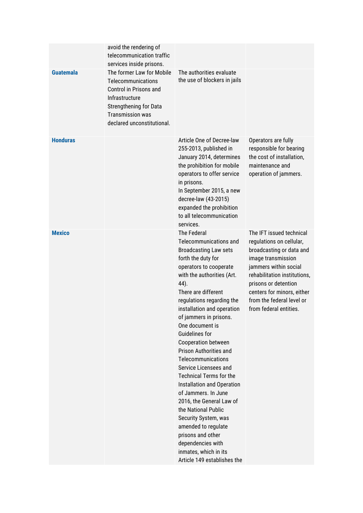|                  | avoid the rendering of<br>telecommunication traffic<br>services inside prisons.                                                                                                       |                                                                                                                                                                                                                                                                                                                                                                                                                                                                                                                                                                                                                                                                                                                       |                                                                                                                                                                                                                                                                              |
|------------------|---------------------------------------------------------------------------------------------------------------------------------------------------------------------------------------|-----------------------------------------------------------------------------------------------------------------------------------------------------------------------------------------------------------------------------------------------------------------------------------------------------------------------------------------------------------------------------------------------------------------------------------------------------------------------------------------------------------------------------------------------------------------------------------------------------------------------------------------------------------------------------------------------------------------------|------------------------------------------------------------------------------------------------------------------------------------------------------------------------------------------------------------------------------------------------------------------------------|
| <b>Guatemala</b> | The former Law for Mobile<br>Telecommunications<br>Control in Prisons and<br>Infrastructure<br><b>Strengthening for Data</b><br><b>Transmission was</b><br>declared unconstitutional. | The authorities evaluate<br>the use of blockers in jails                                                                                                                                                                                                                                                                                                                                                                                                                                                                                                                                                                                                                                                              |                                                                                                                                                                                                                                                                              |
| <b>Honduras</b>  |                                                                                                                                                                                       | Article One of Decree-law<br>255-2013, published in<br>January 2014, determines<br>the prohibition for mobile<br>operators to offer service<br>in prisons.<br>In September 2015, a new<br>decree-law (43-2015)<br>expanded the prohibition<br>to all telecommunication<br>services.                                                                                                                                                                                                                                                                                                                                                                                                                                   | Operators are fully<br>responsible for bearing<br>the cost of installation,<br>maintenance and<br>operation of jammers.                                                                                                                                                      |
| <b>Mexico</b>    |                                                                                                                                                                                       | <b>The Federal</b><br>Telecommunications and<br><b>Broadcasting Law sets</b><br>forth the duty for<br>operators to cooperate<br>with the authorities (Art.<br>44).<br>There are different<br>regulations regarding the<br>installation and operation<br>of jammers in prisons.<br>One document is<br><b>Guidelines for</b><br>Cooperation between<br>Prison Authorities and<br>Telecommunications<br>Service Licensees and<br><b>Technical Terms for the</b><br>Installation and Operation<br>of Jammers. In June<br>2016, the General Law of<br>the National Public<br>Security System, was<br>amended to regulate<br>prisons and other<br>dependencies with<br>inmates, which in its<br>Article 149 establishes the | The IFT issued technical<br>regulations on cellular,<br>broadcasting or data and<br>image transmission<br>jammers within social<br>rehabilitation institutions,<br>prisons or detention<br>centers for minors, either<br>from the federal level or<br>from federal entities. |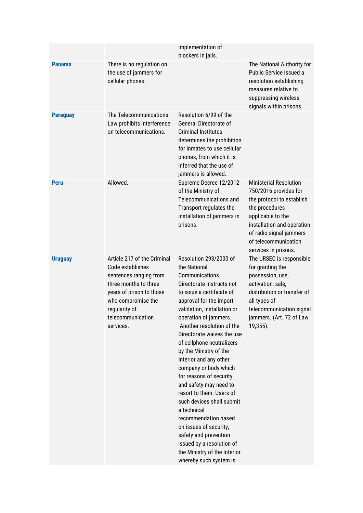|                 |                                                                                                                                                                                                         | implementation of<br>blockers in jails.                                                                                                                                                                                                                                                                                                                                                                                                                                                                                                                                                                                                                                    |                                                                                                                                                                                                                                     |
|-----------------|---------------------------------------------------------------------------------------------------------------------------------------------------------------------------------------------------------|----------------------------------------------------------------------------------------------------------------------------------------------------------------------------------------------------------------------------------------------------------------------------------------------------------------------------------------------------------------------------------------------------------------------------------------------------------------------------------------------------------------------------------------------------------------------------------------------------------------------------------------------------------------------------|-------------------------------------------------------------------------------------------------------------------------------------------------------------------------------------------------------------------------------------|
| <b>Panama</b>   | There is no regulation on<br>the use of jammers for<br>cellular phones.                                                                                                                                 |                                                                                                                                                                                                                                                                                                                                                                                                                                                                                                                                                                                                                                                                            | The National Authority for<br>Public Service issued a<br>resolution establishing<br>measures relative to<br>suppressing wireless<br>signals within prisons.                                                                         |
| <b>Paraguay</b> | The Telecommunications<br>Law prohibits interference<br>on telecommunications.                                                                                                                          | Resolution 6/99 of the<br>General Directorate of<br><b>Criminal Institutes</b><br>determines the prohibition<br>for inmates to use cellular<br>phones, from which it is<br>inferred that the use of<br>jammers is allowed.                                                                                                                                                                                                                                                                                                                                                                                                                                                 |                                                                                                                                                                                                                                     |
| <b>Peru</b>     | Allowed.                                                                                                                                                                                                | Supreme Decree 12/2012<br>of the Ministry of<br>Telecommunications and<br>Transport regulates the<br>installation of jammers in<br>prisons.                                                                                                                                                                                                                                                                                                                                                                                                                                                                                                                                | <b>Ministerial Resolution</b><br>750/2016 provides for<br>the protocol to establish<br>the procedures<br>applicable to the<br>installation and operation<br>of radio signal jammers<br>of telecommunication<br>services in prisons. |
| <b>Uruguay</b>  | Article 217 of the Criminal<br>Code establishes<br>sentences ranging from<br>three months to three<br>years of prison to those<br>who compromise the<br>regularity of<br>telecommunication<br>services. | Resolution 293/2000 of<br>the National<br>Communications<br>Directorate instructs not<br>to issue a certificate of<br>approval for the import,<br>validation, installation or<br>operation of jammers.<br>Another resolution of the<br>Directorate waives the use<br>of cellphone neutralizers<br>by the Ministry of the<br>Interior and any other<br>company or body which<br>for reasons of security<br>and safety may need to<br>resort to them. Users of<br>such devices shall submit<br>a technical<br>recommendation based<br>on issues of security,<br>safety and prevention<br>issued by a resolution of<br>the Ministry of the Interior<br>whereby such system is | The URSEC is responsible<br>for granting the<br>possession, use,<br>activation, sale,<br>distribution or transfer of<br>all types of<br>telecommunication signal<br>jammers. (Art. 72 of Law<br>19,355).                            |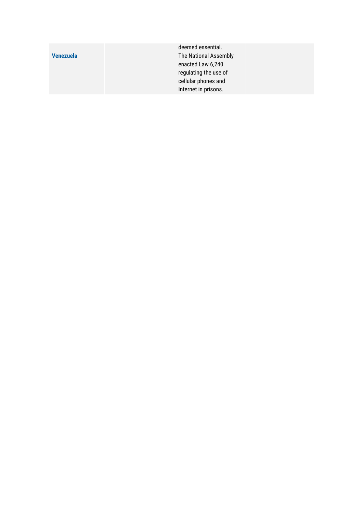|                  | deemed essential.     |
|------------------|-----------------------|
| <b>Venezuela</b> | The National Assembly |
|                  | enacted Law 6,240     |
|                  | regulating the use of |
|                  | cellular phones and   |
|                  | Internet in prisons.  |